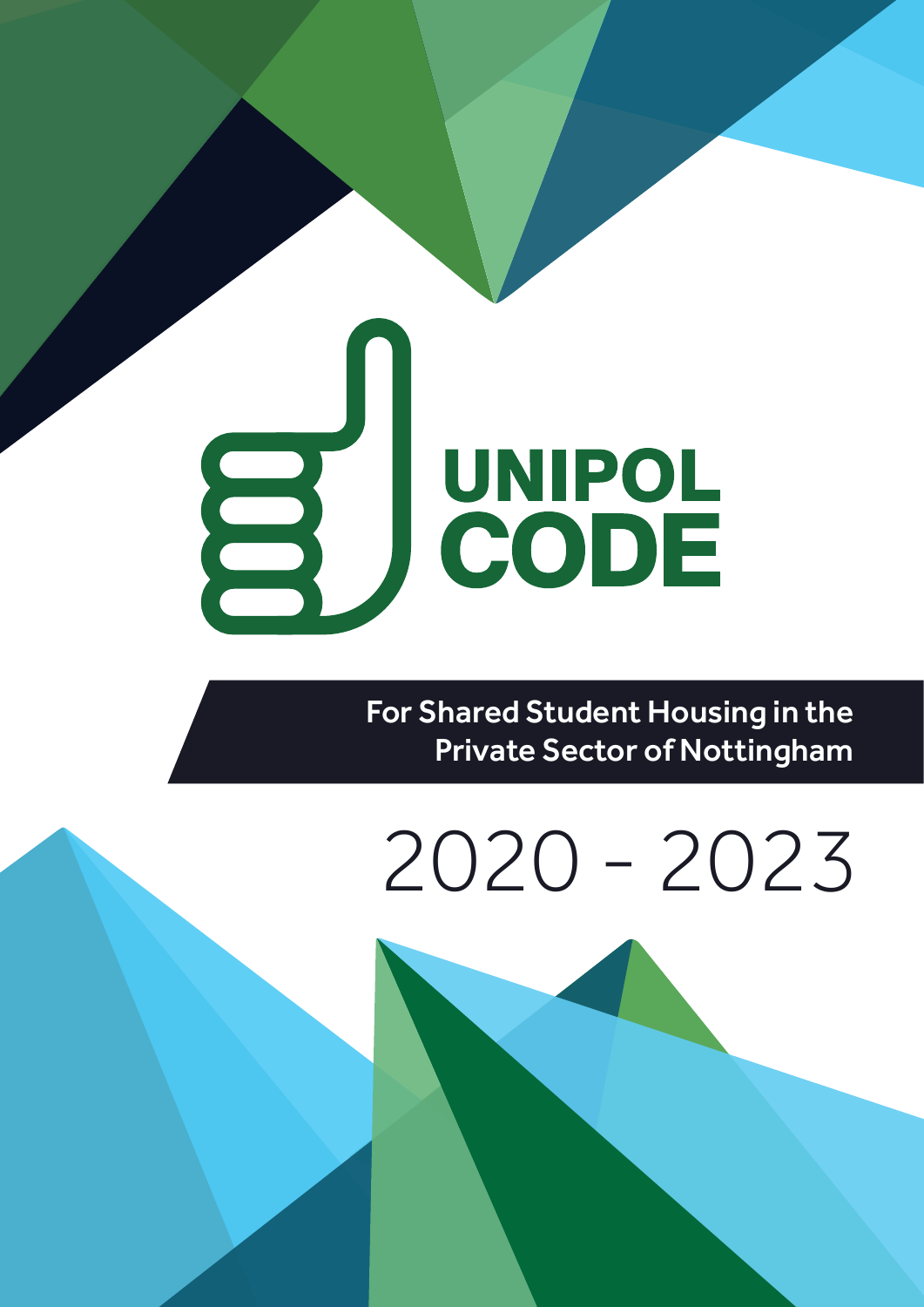# UNIPOL<br>CODE 3

 For Shared Student Housing in the Private Sector of Nottingham

## 2020 - 2023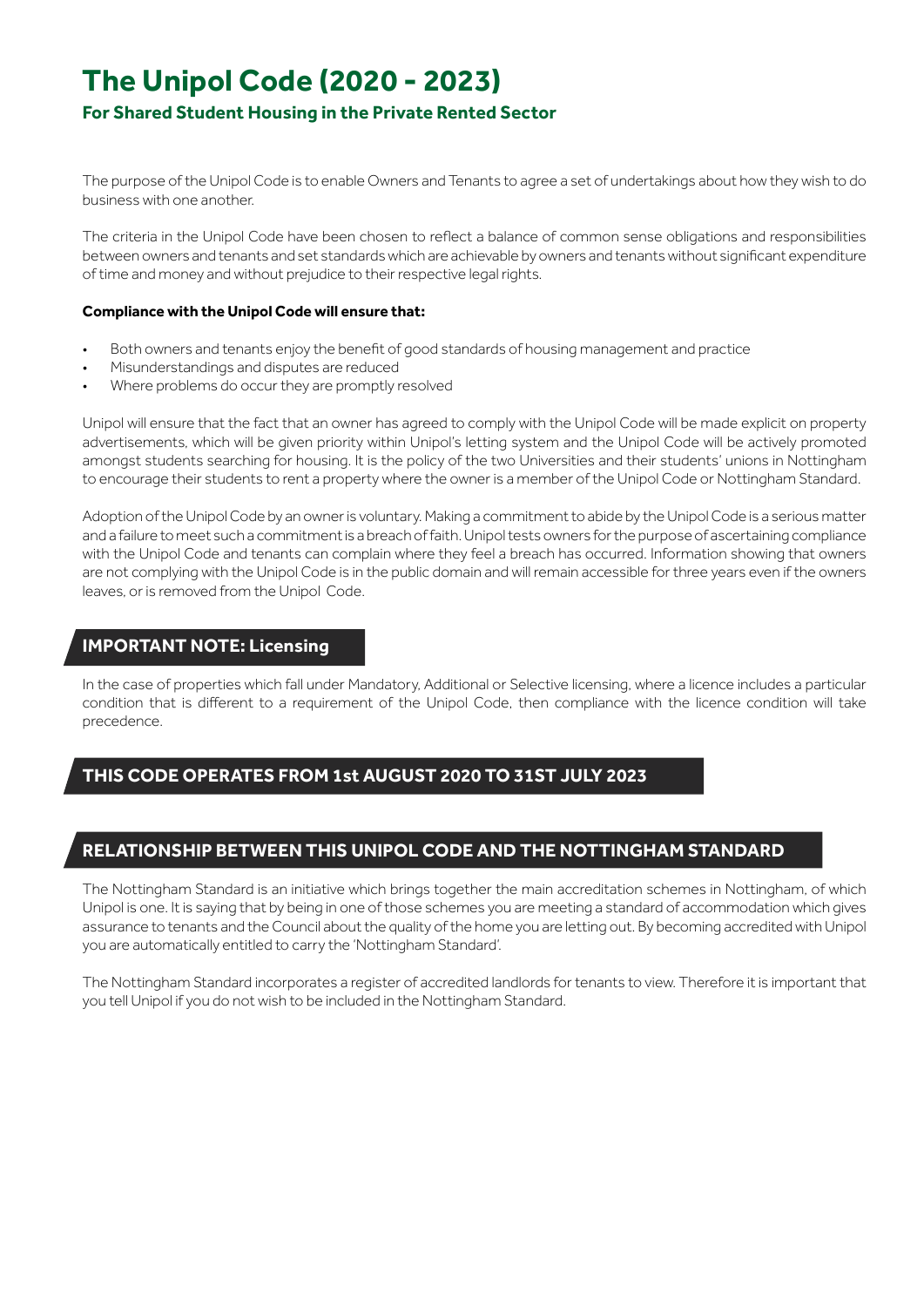#### **The Unipol Code (2020 - 2023)**

#### **For Shared Student Housing in the Private Rented Sector**

The purpose of the Unipol Code is to enable Owners and Tenants to agree a set of undertakings about how they wish to do business with one another.

The criteria in the Unipol Code have been chosen to reflect a balance of common sense obligations and responsibilities between owners and tenants and set standards which are achievable by owners and tenants without significant expenditure of time and money and without prejudice to their respective legal rights.

#### **Compliance with the Unipol Code will ensure that:**

- Both owners and tenants enjoy the benefit of good standards of housing management and practice
- Misunderstandings and disputes are reduced
- Where problems do occur they are promptly resolved

Unipol will ensure that the fact that an owner has agreed to comply with the Unipol Code will be made explicit on property advertisements, which will be given priority within Unipol's letting system and the Unipol Code will be actively promoted amongst students searching for housing. It is the policy of the two Universities and their students' unions in Nottingham to encourage their students to rent a property where the owner is a member of the Unipol Code or Nottingham Standard.

Adoption of the Unipol Code by an owner is voluntary. Making a commitment to abide by the Unipol Code is a serious matter and a failure to meet such a commitment is a breach of faith. Unipol tests owners for the purpose of ascertaining compliance with the Unipol Code and tenants can complain where they feel a breach has occurred. Information showing that owners are not complying with the Unipol Code is in the public domain and will remain accessible for three years even if the owners leaves, or is removed from the Unipol Code.

#### **IMPORTANT NOTE: Licensing**

In the case of properties which fall under Mandatory, Additional or Selective licensing, where a licence includes a particular condition that is different to a requirement of the Unipol Code, then compliance with the licence condition will take precedence.

#### **THIS CODE OPERATES FROM 1st AUGUST 2020 TO 31ST JULY 2023**

#### **RELATIONSHIP BETWEEN THIS UNIPOL CODE AND THE NOTTINGHAM STANDARD**

The Nottingham Standard is an initiative which brings together the main accreditation schemes in Nottingham, of which Unipol is one. It is saying that by being in one of those schemes you are meeting a standard of accommodation which gives assurance to tenants and the Council about the quality of the home you are letting out. By becoming accredited with Unipol you are automatically entitled to carry the 'Nottingham Standard'.

The Nottingham Standard incorporates a register of accredited landlords for tenants to view. Therefore it is important that you tell Unipol if you do not wish to be included in the Nottingham Standard.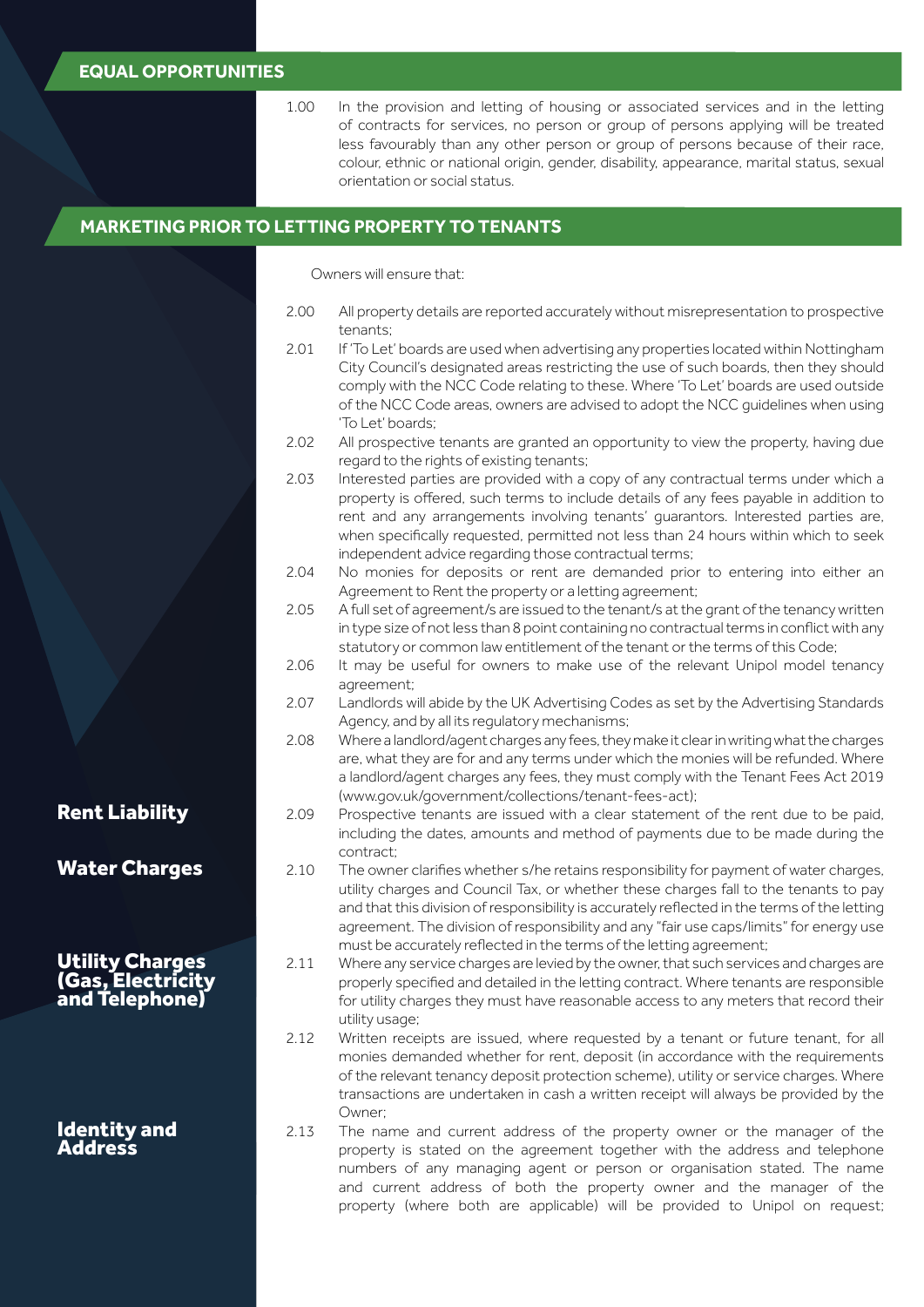#### **EQUAL OPPORTUNITIES**

| In the provision and letting of housing or associated services and in the letting         |
|-------------------------------------------------------------------------------------------|
| of contracts for services, no person or group of persons applying will be treated         |
| less favourably than any other person or group of persons because of their race,          |
| colour, ethnic or national origin, gender, disability, appearance, marital status, sexual |
| orientation or social status.                                                             |
|                                                                                           |

#### **MARKETING PRIOR TO LETTING PROPERTY TO TENANTS**

Owners will ensure that:

- 2.00 All property details are reported accurately without misrepresentation to prospective tenants;
- 2.01 If 'To Let' boards are used when advertising any properties located within Nottingham City Council's designated areas restricting the use of such boards, then they should comply with the NCC Code relating to these. Where 'To Let' boards are used outside of the NCC Code areas, owners are advised to adopt the NCC guidelines when using 'To Let' boards;
- 2.02 All prospective tenants are granted an opportunity to view the property, having due regard to the rights of existing tenants;
- 2.03 Interested parties are provided with a copy of any contractual terms under which a property is offered, such terms to include details of any fees payable in addition to rent and any arrangements involving tenants' guarantors. Interested parties are, when specifically requested, permitted not less than 24 hours within which to seek independent advice regarding those contractual terms;
- 2.04 No monies for deposits or rent are demanded prior to entering into either an Agreement to Rent the property or a letting agreement;
- 2.05 A full set of agreement/s are issued to the tenant/s at the grant of the tenancy written in type size of not less than 8 point containing no contractual terms in conflict with any statutory or common law entitlement of the tenant or the terms of this Code;
- 2.06 It may be useful for owners to make use of the relevant Unipol model tenancy agreement;
- 2.07 Landlords will abide by the UK Advertising Codes as set by the Advertising Standards Agency, and by all its regulatory mechanisms;
- 2.08 Where a landlord/agent charges any fees, they make it clear in writing what the charges are, what they are for and any terms under which the monies will be refunded. Where a landlord/agent charges any fees, they must comply with the Tenant Fees Act 2019 (www.gov.uk/government/collections/tenant-fees-act);
- 2.09 Prospective tenants are issued with a clear statement of the rent due to be paid, including the dates, amounts and method of payments due to be made during the contract;
- 2.10 The owner clarifies whether s/he retains responsibility for payment of water charges, utility charges and Council Tax, or whether these charges fall to the tenants to pay and that this division of responsibility is accurately reflected in the terms of the letting agreement. The division of responsibility and any "fair use caps/limits" for energy use must be accurately reflected in the terms of the letting agreement;
- 2.11 Where any service charges are levied by the owner, that such services and charges are properly specified and detailed in the letting contract. Where tenants are responsible for utility charges they must have reasonable access to any meters that record their utility usage;
- 2.12 Written receipts are issued, where requested by a tenant or future tenant, for all monies demanded whether for rent, deposit (in accordance with the requirements of the relevant tenancy deposit protection scheme), utility or service charges. Where transactions are undertaken in cash a written receipt will always be provided by the Owner;
- 2.13 The name and current address of the property owner or the manager of the property is stated on the agreement together with the address and telephone numbers of any managing agent or person or organisation stated. The name and current address of both the property owner and the manager of the property (where both are applicable) will be provided to Unipol on request;

Rent Liability

Water Charges

**Utility Charges** (Gas, Electricity and Telephone)

Identity and Address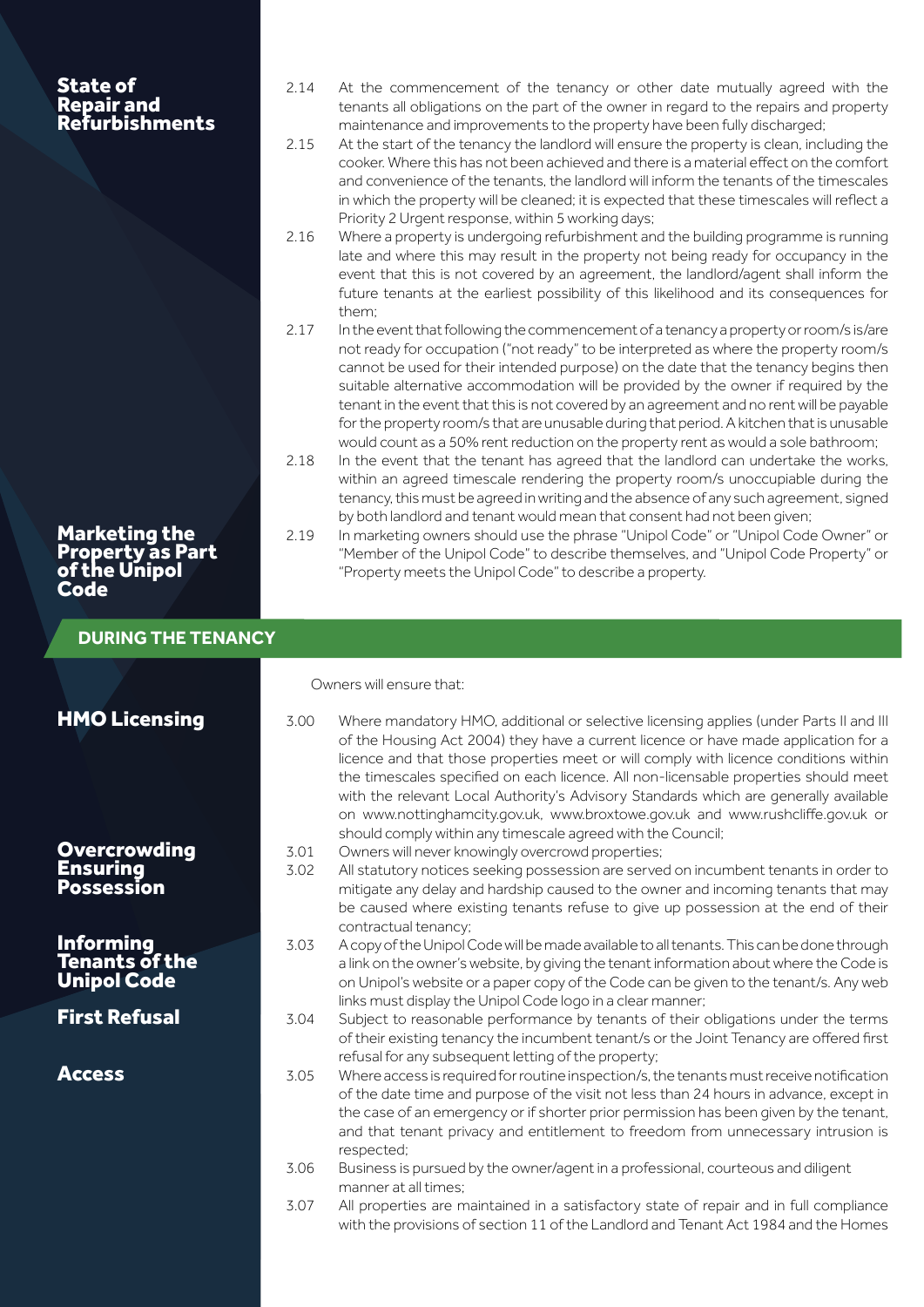| <b>State of</b><br><b>Repair and<br/>Refurbishments</b>            | 2.14<br>2.15<br>2.16<br>2.17 | At the commencement of the tenancy or other date mutually agreed with the<br>tenants all obligations on the part of the owner in regard to the repairs and property<br>maintenance and improvements to the property have been fully discharged;<br>At the start of the tenancy the landlord will ensure the property is clean, including the<br>cooker. Where this has not been achieved and there is a material effect on the comfort<br>and convenience of the tenants, the landlord will inform the tenants of the timescales<br>in which the property will be cleaned; it is expected that these timescales will reflect a<br>Priority 2 Urgent response, within 5 working days;<br>Where a property is undergoing refurbishment and the building programme is running<br>late and where this may result in the property not being ready for occupancy in the<br>event that this is not covered by an agreement, the landlord/agent shall inform the<br>future tenants at the earliest possibility of this likelihood and its consequences for<br>them;<br>In the event that following the commencement of a tenancy a property or room/s is/are |
|--------------------------------------------------------------------|------------------------------|------------------------------------------------------------------------------------------------------------------------------------------------------------------------------------------------------------------------------------------------------------------------------------------------------------------------------------------------------------------------------------------------------------------------------------------------------------------------------------------------------------------------------------------------------------------------------------------------------------------------------------------------------------------------------------------------------------------------------------------------------------------------------------------------------------------------------------------------------------------------------------------------------------------------------------------------------------------------------------------------------------------------------------------------------------------------------------------------------------------------------------------------------|
|                                                                    | 2.18                         | not ready for occupation ("not ready" to be interpreted as where the property room/s<br>cannot be used for their intended purpose) on the date that the tenancy begins then<br>suitable alternative accommodation will be provided by the owner if required by the<br>tenant in the event that this is not covered by an agreement and no rent will be payable<br>for the property room/s that are unusable during that period. A kitchen that is unusable<br>would count as a 50% rent reduction on the property rent as would a sole bathroom;<br>In the event that the tenant has agreed that the landlord can undertake the works,<br>within an agreed timescale rendering the property room/s unoccupiable during the<br>tenancy, this must be agreed in writing and the absence of any such agreement, signed<br>by both landlord and tenant would mean that consent had not been given;                                                                                                                                                                                                                                                       |
| <b>Marketing the<br/>Property as Part</b><br>of the Unipol<br>Code | 2.19                         | In marketing owners should use the phrase "Unipol Code" or "Unipol Code Owner" or<br>"Member of the Unipol Code" to describe themselves, and "Unipol Code Property" or<br>"Property meets the Unipol Code" to describe a property.                                                                                                                                                                                                                                                                                                                                                                                                                                                                                                                                                                                                                                                                                                                                                                                                                                                                                                                   |
| <b>DURING THE TENANCY</b>                                          |                              |                                                                                                                                                                                                                                                                                                                                                                                                                                                                                                                                                                                                                                                                                                                                                                                                                                                                                                                                                                                                                                                                                                                                                      |
|                                                                    |                              |                                                                                                                                                                                                                                                                                                                                                                                                                                                                                                                                                                                                                                                                                                                                                                                                                                                                                                                                                                                                                                                                                                                                                      |
|                                                                    |                              | Owners will ensure that:                                                                                                                                                                                                                                                                                                                                                                                                                                                                                                                                                                                                                                                                                                                                                                                                                                                                                                                                                                                                                                                                                                                             |
| <b>HMO Licensing</b>                                               | 3.00                         | Where mandatory HMO, additional or selective licensing applies (under Parts II and III<br>of the Housing Act 2004) they have a current licence or have made application for a<br>licence and that those properties meet or will comply with licence conditions within<br>the timescales specified on each licence. All non-licensable properties should meet<br>with the relevant Local Authority's Advisory Standards which are generally available<br>on www.nottinghamcity.gov.uk, www.broxtowe.gov.uk and www.rushcliffe.gov.uk or                                                                                                                                                                                                                                                                                                                                                                                                                                                                                                                                                                                                               |
| <b>Overcrowding</b><br><b>Ensuring</b><br><b>Possession</b>        | 3.01<br>3.02                 | should comply within any timescale agreed with the Council;<br>Owners will never knowingly overcrowd properties;<br>All statutory notices seeking possession are served on incumbent tenants in order to<br>mitigate any delay and hardship caused to the owner and incoming tenants that may<br>be caused where existing tenants refuse to give up possession at the end of their                                                                                                                                                                                                                                                                                                                                                                                                                                                                                                                                                                                                                                                                                                                                                                   |
| <b>Informing</b><br><b>Tenants of the</b><br><b>Unipol Code</b>    | 3.03                         | contractual tenancy;<br>A copy of the Unipol Code will be made available to all tenants. This can be done through<br>a link on the owner's website, by giving the tenant information about where the Code is<br>on Unipol's website or a paper copy of the Code can be given to the tenant/s. Any web                                                                                                                                                                                                                                                                                                                                                                                                                                                                                                                                                                                                                                                                                                                                                                                                                                                |
| <b>First Refusal</b>                                               | 3.04                         | links must display the Unipol Code logo in a clear manner;<br>Subject to reasonable performance by tenants of their obligations under the terms                                                                                                                                                                                                                                                                                                                                                                                                                                                                                                                                                                                                                                                                                                                                                                                                                                                                                                                                                                                                      |
| <b>Access</b>                                                      | 3.05                         | of their existing tenancy the incumbent tenant/s or the Joint Tenancy are offered first<br>refusal for any subsequent letting of the property;<br>Where access is required for routine inspection/s, the tenants must receive notification<br>of the date time and purpose of the visit not less than 24 hours in advance, except in<br>the case of an emergency or if shorter prior permission has been given by the tenant,<br>and that tenant privacy and entitlement to freedom from unnecessary intrusion is                                                                                                                                                                                                                                                                                                                                                                                                                                                                                                                                                                                                                                    |
|                                                                    | 3.06                         | respected;<br>Business is pursued by the owner/agent in a professional, courteous and diligent<br>manner at all times:                                                                                                                                                                                                                                                                                                                                                                                                                                                                                                                                                                                                                                                                                                                                                                                                                                                                                                                                                                                                                               |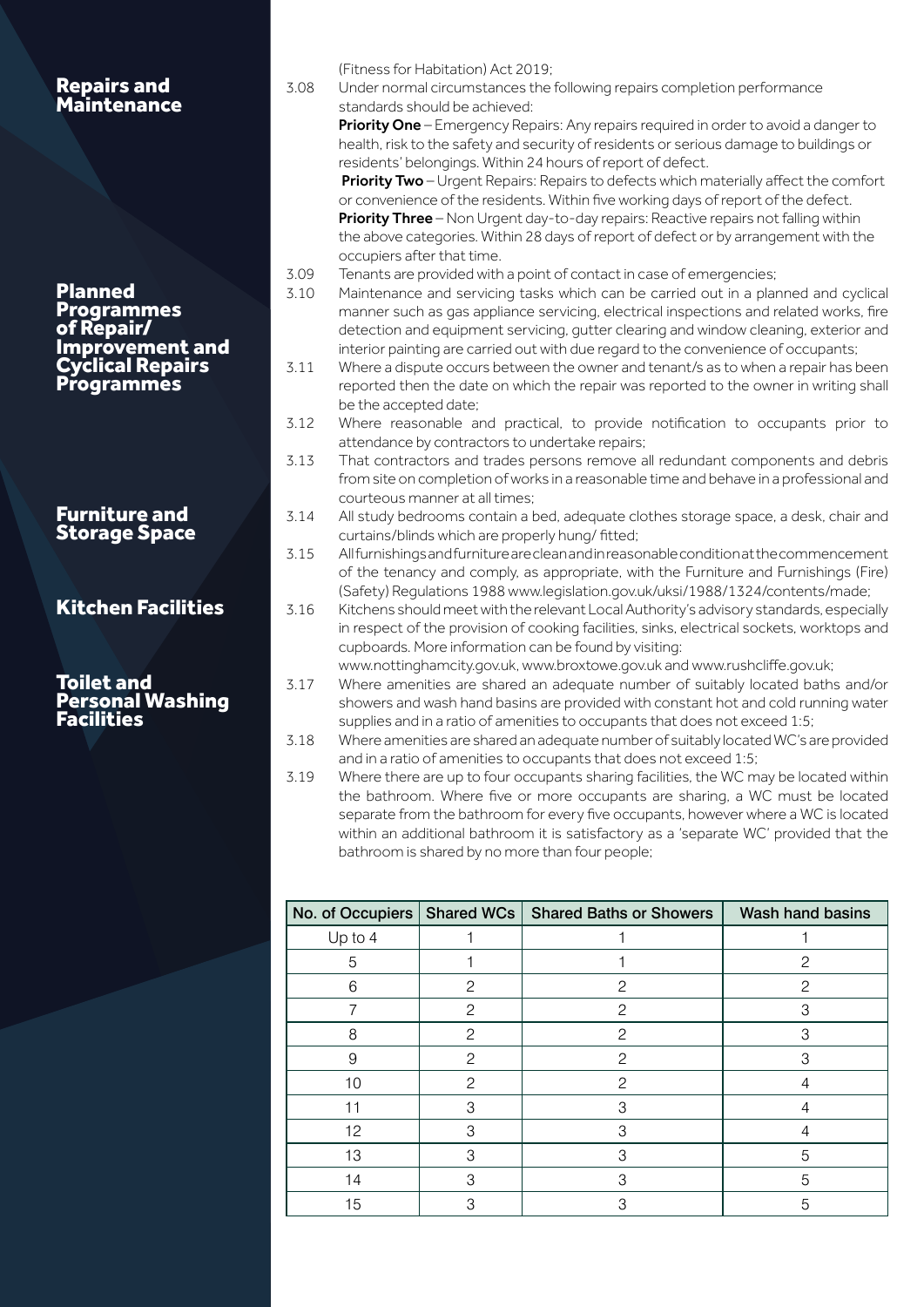| <b>Repairs and<br/>Maintenance</b>                                          | (Fitness for Habitation) Act 2019;<br>3.08<br>Under normal circumstances the following repairs completion performance<br>standards should be achieved:<br>Priority One - Emergency Repairs: Any repairs required in order to avoid a danger to<br>health, risk to the safety and security of residents or serious damage to buildings or<br>residents' belongings. Within 24 hours of report of defect.<br>Priority Two - Urgent Repairs: Repairs to defects which materially affect the comfort<br>or convenience of the residents. Within five working days of report of the defect.<br>Priority Three - Non Urgent day-to-day repairs: Reactive repairs not falling within<br>the above categories. Within 28 days of report of defect or by arrangement with the<br>occupiers after that time. |
|-----------------------------------------------------------------------------|----------------------------------------------------------------------------------------------------------------------------------------------------------------------------------------------------------------------------------------------------------------------------------------------------------------------------------------------------------------------------------------------------------------------------------------------------------------------------------------------------------------------------------------------------------------------------------------------------------------------------------------------------------------------------------------------------------------------------------------------------------------------------------------------------|
| <b>Planned</b><br><b>Programmes</b><br>of Repair/<br><b>Improvement and</b> | 3.09<br>Tenants are provided with a point of contact in case of emergencies;<br>3.10<br>Maintenance and servicing tasks which can be carried out in a planned and cyclical<br>manner such as gas appliance servicing, electrical inspections and related works, fire<br>detection and equipment servicing, gutter clearing and window cleaning, exterior and<br>interior painting are carried out with due regard to the convenience of occupants;                                                                                                                                                                                                                                                                                                                                                 |
| <b>Cyclical Repairs</b><br><b>Programmes</b>                                | 3.11<br>Where a dispute occurs between the owner and tenant/s as to when a repair has been<br>reported then the date on which the repair was reported to the owner in writing shall<br>be the accepted date;                                                                                                                                                                                                                                                                                                                                                                                                                                                                                                                                                                                       |
|                                                                             | 3.12<br>Where reasonable and practical, to provide notification to occupants prior to<br>attendance by contractors to undertake repairs;<br>3.13<br>That contractors and trades persons remove all redundant components and debris<br>from site on completion of works in a reasonable time and behave in a professional and                                                                                                                                                                                                                                                                                                                                                                                                                                                                       |
| <b>Furniture and</b><br><b>Storage Space</b>                                | courteous manner at all times;<br>3.14<br>All study bedrooms contain a bed, adequate clothes storage space, a desk, chair and<br>curtains/blinds which are properly hung/ fitted;<br>3.15<br>Allfurnishings and furniture are clean and in reasonable condition at the commencement                                                                                                                                                                                                                                                                                                                                                                                                                                                                                                                |
| <b>Kitchen Facilities</b>                                                   | of the tenancy and comply, as appropriate, with the Furniture and Furnishings (Fire)<br>(Safety) Regulations 1988 www.legislation.gov.uk/uksi/1988/1324/contents/made;<br>3.16<br>Kitchens should meet with the relevant Local Authority's advisory standards, especially<br>in respect of the provision of cooking facilities, sinks, electrical sockets, worktops and<br>cupboards. More information can be found by visiting:                                                                                                                                                                                                                                                                                                                                                                   |
| <b>Toilet and</b><br><b>Personal Washing</b><br><b>Facilities</b>           | www.nottinghamcity.gov.uk, www.broxtowe.gov.uk and www.rushcliffe.gov.uk;<br>Where amenities are shared an adequate number of suitably located baths and/or<br>3.17<br>showers and wash hand basins are provided with constant hot and cold running water<br>supplies and in a ratio of amenities to occupants that does not exceed 1:5;                                                                                                                                                                                                                                                                                                                                                                                                                                                           |
|                                                                             | Where amenities are shared an adequate number of suitably located WC's are provided<br>3.18                                                                                                                                                                                                                                                                                                                                                                                                                                                                                                                                                                                                                                                                                                        |
|                                                                             | and in a ratio of amenities to occupants that does not exceed 1:5;<br>3.19<br>Where there are up to four occupants sharing facilities, the WC may be located within<br>the bathroom. Where five or more occupants are sharing, a WC must be located<br>separate from the bathroom for every five occupants, however where a WC is located<br>within an additional bathroom it is satisfactory as a 'separate WC' provided that the<br>bathroom is shared by no more than four people;                                                                                                                                                                                                                                                                                                              |
|                                                                             | No. of Occupiers   Shared WCs  <br><b>Shared Baths or Showers</b><br><b>Wash hand basins</b>                                                                                                                                                                                                                                                                                                                                                                                                                                                                                                                                                                                                                                                                                                       |

|             |              | <b>110.</b> Or Occupicio   Original (1103   Original Datrio Originale) | <b>PITCON DUMITILITY</b> |
|-------------|--------------|------------------------------------------------------------------------|--------------------------|
| Up to 4     |              |                                                                        |                          |
| 5           |              |                                                                        | 2                        |
| 6           | $\mathbf{2}$ | $\mathbf{2}$                                                           | 2                        |
|             | $\mathbf{2}$ | $\mathbf{2}$                                                           | 3                        |
| 8           | $\mathbf{2}$ | $\mathbf{2}$                                                           | 3                        |
| $\mathsf 9$ | $\mathbf{2}$ | $\mathcal{P}$                                                          | 3                        |
| 10          | 2            | $\mathbf{2}$                                                           | $\overline{4}$           |
| 11          | 3            | 3                                                                      | $\overline{4}$           |
| 12          | 3            | 3                                                                      | 4                        |
| 13          | 3            | 3                                                                      | 5                        |
| 14          | 3            | 3                                                                      | 5                        |
| 15          | 3            | 3                                                                      | 5                        |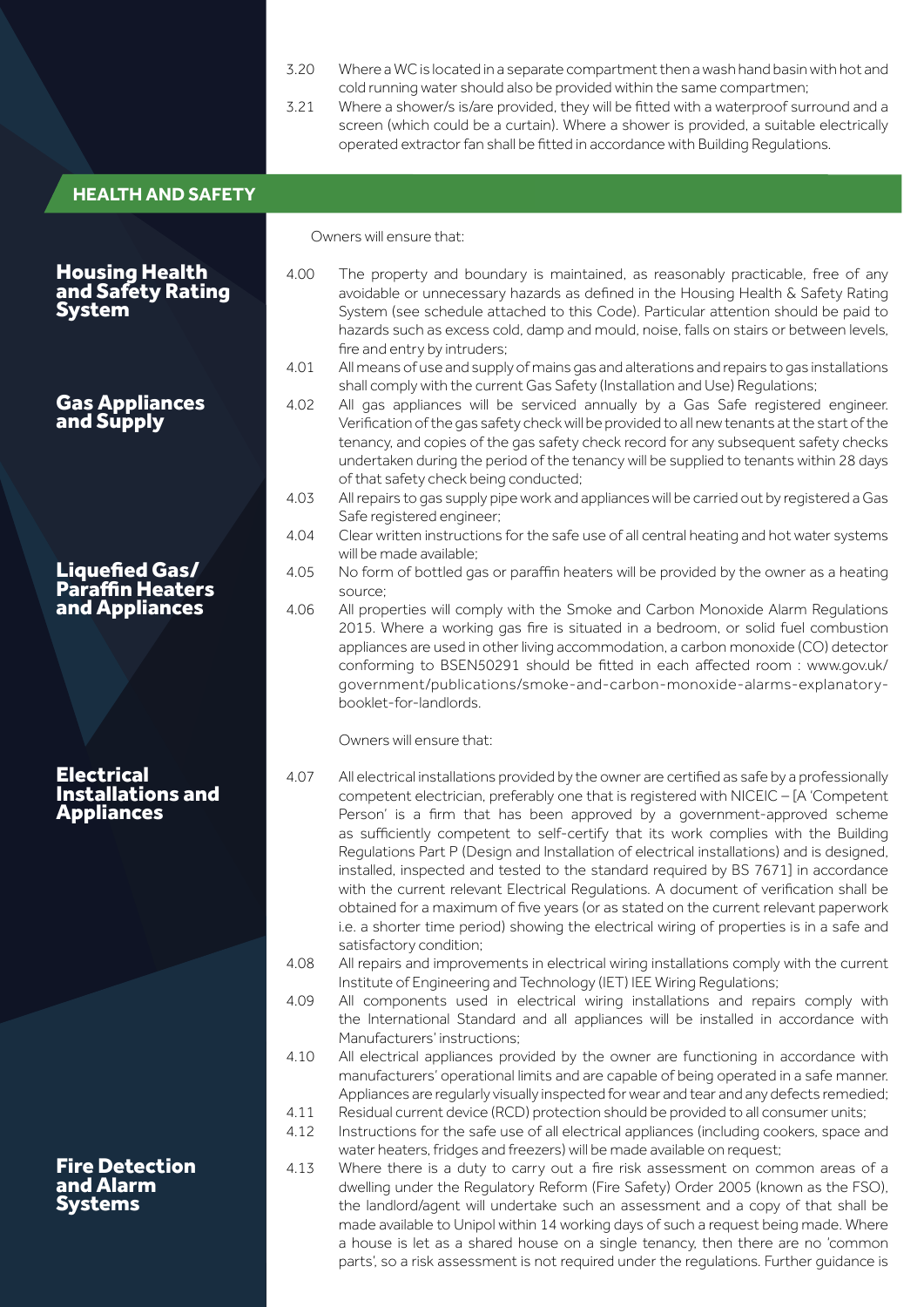|                                                              | 3.20<br>3.21 | Where a WC is located in a separate compartment then a wash hand basin with hot and<br>cold running water should also be provided within the same compartmen;<br>Where a shower/s is/are provided, they will be fitted with a waterproof surround and a<br>screen (which could be a curtain). Where a shower is provided, a suitable electrically<br>operated extractor fan shall be fitted in accordance with Building Regulations.                                                                                                                                                                                                                                                                                                              |
|--------------------------------------------------------------|--------------|---------------------------------------------------------------------------------------------------------------------------------------------------------------------------------------------------------------------------------------------------------------------------------------------------------------------------------------------------------------------------------------------------------------------------------------------------------------------------------------------------------------------------------------------------------------------------------------------------------------------------------------------------------------------------------------------------------------------------------------------------|
| <b>HEALTH AND SAFETY</b>                                     |              |                                                                                                                                                                                                                                                                                                                                                                                                                                                                                                                                                                                                                                                                                                                                                   |
|                                                              |              | Owners will ensure that:                                                                                                                                                                                                                                                                                                                                                                                                                                                                                                                                                                                                                                                                                                                          |
| <b>Housing Health<br/>and Safety Rating</b><br><b>System</b> | 4.00         | The property and boundary is maintained, as reasonably practicable, free of any<br>avoidable or unnecessary hazards as defined in the Housing Health & Safety Rating<br>System (see schedule attached to this Code). Particular attention should be paid to<br>hazards such as excess cold, damp and mould, noise, falls on stairs or between levels,<br>fire and entry by intruders;                                                                                                                                                                                                                                                                                                                                                             |
| <b>Gas Appliances</b><br>and Supply                          | 4.01<br>4.02 | All means of use and supply of mains gas and alterations and repairs to gas installations<br>shall comply with the current Gas Safety (Installation and Use) Regulations;<br>All gas appliances will be serviced annually by a Gas Safe registered engineer.<br>Verification of the gas safety check will be provided to all new tenants at the start of the<br>tenancy, and copies of the gas safety check record for any subsequent safety checks<br>undertaken during the period of the tenancy will be supplied to tenants within 28 days<br>of that safety check being conducted;                                                                                                                                                            |
|                                                              | 4.03<br>4.04 | All repairs to gas supply pipe work and appliances will be carried out by registered a Gas<br>Safe registered engineer;<br>Clear written instructions for the safe use of all central heating and hot water systems<br>will be made available;                                                                                                                                                                                                                                                                                                                                                                                                                                                                                                    |
| <b>Liquefied Gas/<br/>Paraffin Heaters</b><br>and Appliances | 4.05<br>4.06 | No form of bottled gas or paraffin heaters will be provided by the owner as a heating<br>source:<br>All properties will comply with the Smoke and Carbon Monoxide Alarm Regulations<br>2015. Where a working gas fire is situated in a bedroom, or solid fuel combustion<br>appliances are used in other living accommodation, a carbon monoxide (CO) detector<br>conforming to BSEN50291 should be fitted in each affected room : www.gov.uk/<br>government/publications/smoke-and-carbon-monoxide-alarms-explanatory-<br>booklet-for-landlords.                                                                                                                                                                                                 |
| <b>Electrical</b>                                            | 4.07         | Owners will ensure that:<br>All electrical installations provided by the owner are certified as safe by a professionally                                                                                                                                                                                                                                                                                                                                                                                                                                                                                                                                                                                                                          |
| <b>Installations and</b><br><b>Appliances</b>                |              | competent electrician, preferably one that is registered with NICEIC - [A 'Competent<br>Person' is a firm that has been approved by a government-approved scheme<br>as sufficiently competent to self-certify that its work complies with the Building<br>Regulations Part P (Design and Installation of electrical installations) and is designed,<br>installed, inspected and tested to the standard required by BS 7671] in accordance<br>with the current relevant Electrical Regulations. A document of verification shall be<br>obtained for a maximum of five years (or as stated on the current relevant paperwork<br>i.e. a shorter time period) showing the electrical wiring of properties is in a safe and<br>satisfactory condition; |
|                                                              | 4.08         | All repairs and improvements in electrical wiring installations comply with the current<br>Institute of Engineering and Technology (IET) IEE Wiring Regulations;                                                                                                                                                                                                                                                                                                                                                                                                                                                                                                                                                                                  |
|                                                              | 4.09         | All components used in electrical wiring installations and repairs comply with<br>the International Standard and all appliances will be installed in accordance with<br>Manufacturers' instructions:                                                                                                                                                                                                                                                                                                                                                                                                                                                                                                                                              |
|                                                              | 4.10         | All electrical appliances provided by the owner are functioning in accordance with<br>manufacturers' operational limits and are capable of being operated in a safe manner.<br>Appliances are regularly visually inspected for wear and tear and any defects remedied;                                                                                                                                                                                                                                                                                                                                                                                                                                                                            |
|                                                              | 4.11<br>4.12 | Residual current device (RCD) protection should be provided to all consumer units;<br>Instructions for the safe use of all electrical appliances (including cookers, space and<br>water heaters, fridges and freezers) will be made available on request;                                                                                                                                                                                                                                                                                                                                                                                                                                                                                         |
| <b>Fire Detection</b><br>and Alarm<br><b>Systems</b>         | 4.13         | Where there is a duty to carry out a fire risk assessment on common areas of a<br>dwelling under the Regulatory Reform (Fire Safety) Order 2005 (known as the FSO),<br>the landlord/agent will undertake such an assessment and a copy of that shall be<br>made available to Unipol within 14 working days of such a request being made. Where<br>a house is let as a shared house on a single tenancy, then there are no 'common<br>parts', so a risk assessment is not required under the regulations. Further guidance is                                                                                                                                                                                                                      |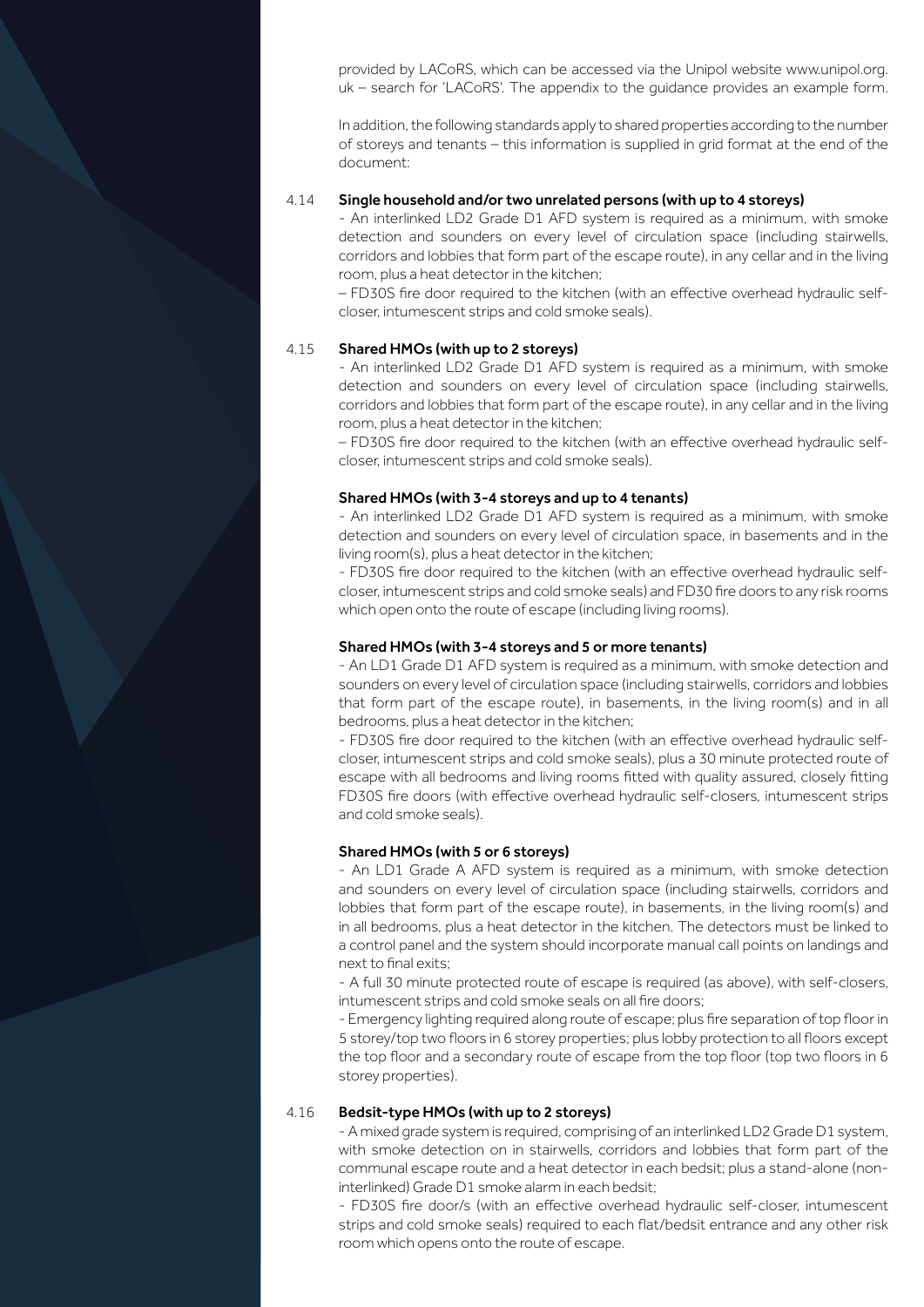provided by LACoRS, which can be accessed via the Unipol website www.unipol.org. uk – search for 'LACoRS'. The appendix to the guidance provides an example form.

In addition, the following standards apply to shared properties according to the number of storeys and tenants – this information is supplied in grid format at the end of the document:

#### 4.14 Single household and/or two unrelated persons (with up to 4 storeys)

- An interlinked LD2 Grade D1 AFD system is required as a minimum, with smoke detection and sounders on every level of circulation space (including stairwells, corridors and lobbies that form part of the escape route), in any cellar and in the living room, plus a heat detector in the kitchen;

– FD30S fire door required to the kitchen (with an effective overhead hydraulic selfcloser, intumescent strips and cold smoke seals).

#### 4.15 Shared HMOs (with up to 2 storeys)

- An interlinked LD2 Grade D1 AFD system is required as a minimum, with smoke detection and sounders on every level of circulation space (including stairwells, corridors and lobbies that form part of the escape route), in any cellar and in the living room, plus a heat detector in the kitchen;

– FD30S fire door required to the kitchen (with an effective overhead hydraulic selfcloser, intumescent strips and cold smoke seals).

#### Shared HMOs (with 3-4 storeys and up to 4 tenants)

- An interlinked LD2 Grade D1 AFD system is required as a minimum, with smoke detection and sounders on every level of circulation space, in basements and in the living room(s), plus a heat detector in the kitchen;

- FD30S fire door required to the kitchen (with an effective overhead hydraulic selfcloser, intumescent strips and cold smoke seals) and FD30 fire doors to any risk rooms which open onto the route of escape (including living rooms).

#### Shared HMOs (with 3-4 storeys and 5 or more tenants)

- An LD1 Grade D1 AFD system is required as a minimum, with smoke detection and sounders on every level of circulation space (including stairwells, corridors and lobbies that form part of the escape route), in basements, in the living room(s) and in all bedrooms, plus a heat detector in the kitchen;

- FD30S fire door required to the kitchen (with an effective overhead hydraulic selfcloser, intumescent strips and cold smoke seals), plus a 30 minute protected route of escape with all bedrooms and living rooms fitted with quality assured, closely fitting FD30S fire doors (with effective overhead hydraulic self-closers, intumescent strips and cold smoke seals).

#### Shared HMOs (with 5 or 6 storeys)

- An LD1 Grade A AFD system is required as a minimum, with smoke detection and sounders on every level of circulation space (including stairwells, corridors and lobbies that form part of the escape route), in basements, in the living room(s) and in all bedrooms, plus a heat detector in the kitchen. The detectors must be linked to a control panel and the system should incorporate manual call points on landings and next to final exits;

- A full 30 minute protected route of escape is required (as above), with self-closers, intumescent strips and cold smoke seals on all fire doors;

- Emergency lighting required along route of escape; plus fire separation of top floor in 5 storey/top two floors in 6 storey properties; plus lobby protection to all floors except the top floor and a secondary route of escape from the top floor (top two floors in 6 storey properties).

#### 4.16 Bedsit-type HMOs (with up to 2 storeys)

- A mixed grade system is required, comprising of an interlinked LD2 Grade D1 system, with smoke detection on in stairwells, corridors and lobbies that form part of the communal escape route and a heat detector in each bedsit; plus a stand-alone (noninterlinked) Grade D1 smoke alarm in each bedsit;

- FD30S fire door/s (with an effective overhead hydraulic self-closer, intumescent strips and cold smoke seals) required to each flat/bedsit entrance and any other risk room which opens onto the route of escape.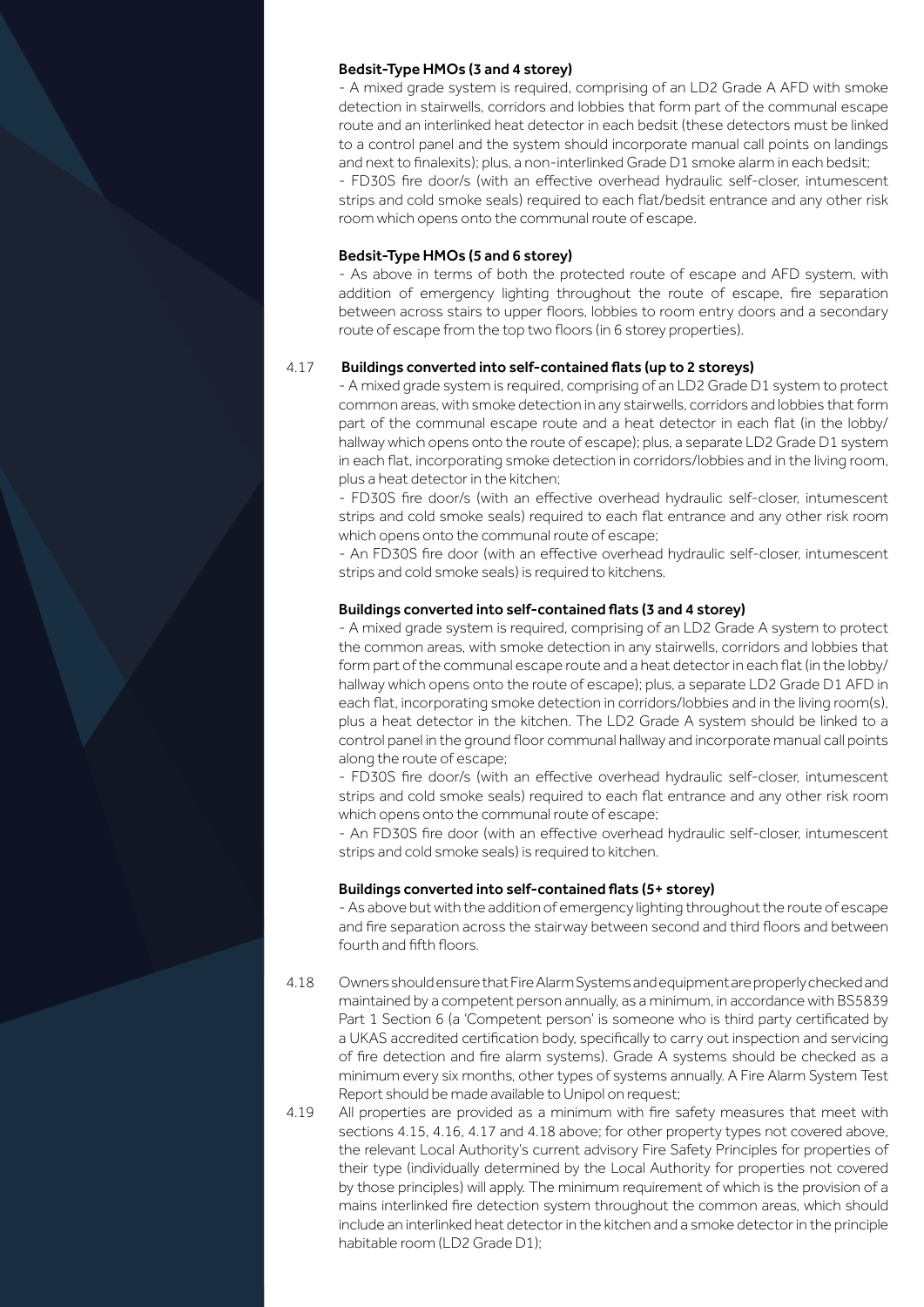#### Bedsit-Type HMOs (3 and 4 storey)

- A mixed grade system is required, comprising of an LD2 Grade A AFD with smoke detection in stairwells, corridors and lobbies that form part of the communal escape route and an interlinked heat detector in each bedsit (these detectors must be linked to a control panel and the system should incorporate manual call points on landings and next to finalexits); plus, a non-interlinked Grade D1 smoke alarm in each bedsit; - FD30S fire door/s (with an effective overhead hydraulic self-closer, intumescent

strips and cold smoke seals) required to each flat/bedsit entrance and any other risk room which opens onto the communal route of escape.

#### Bedsit-Type HMOs (5 and 6 storey)

- As above in terms of both the protected route of escape and AFD system, with addition of emergency lighting throughout the route of escape, fire separation between across stairs to upper floors, lobbies to room entry doors and a secondary route of escape from the top two floors (in 6 storey properties).

#### 4.17 Buildings converted into self-contained flats (up to 2 storeys)

- A mixed grade system is required, comprising of an LD2 Grade D1 system to protect common areas, with smoke detection in any stairwells, corridors and lobbies that form part of the communal escape route and a heat detector in each flat (in the lobby/ hallway which opens onto the route of escape); plus, a separate LD2 Grade D1 system in each flat, incorporating smoke detection in corridors/lobbies and in the living room, plus a heat detector in the kitchen;

- FD30S fire door/s (with an effective overhead hydraulic self-closer, intumescent strips and cold smoke seals) required to each flat entrance and any other risk room which opens onto the communal route of escape;

- An FD30S fire door (with an effective overhead hydraulic self-closer, intumescent strips and cold smoke seals) is required to kitchens.

#### Buildings converted into self-contained flats (3 and 4 storey)

- A mixed grade system is required, comprising of an LD2 Grade A system to protect the common areas, with smoke detection in any stairwells, corridors and lobbies that form part of the communal escape route and a heat detector in each flat (in the lobby/ hallway which opens onto the route of escape); plus, a separate LD2 Grade D1 AFD in each flat, incorporating smoke detection in corridors/lobbies and in the living room(s), plus a heat detector in the kitchen. The LD2 Grade A system should be linked to a control panel in the ground floor communal hallway and incorporate manual call points along the route of escape;

- FD30S fire door/s (with an effective overhead hydraulic self-closer, intumescent strips and cold smoke seals) required to each flat entrance and any other risk room which opens onto the communal route of escape;

- An FD30S fire door (with an effective overhead hydraulic self-closer, intumescent strips and cold smoke seals) is required to kitchen.

#### Buildings converted into self-contained flats (5+ storey)

- As above but with the addition of emergency lighting throughout the route of escape and fire separation across the stairway between second and third floors and between fourth and fifth floors.

4.18 Owners should ensure that Fire Alarm Systems and equipment are properly checked and maintained by a competent person annually, as a minimum, in accordance with BS5839 Part 1 Section 6 (a 'Competent person' is someone who is third party certificated by a UKAS accredited certification body, specifically to carry out inspection and servicing of fire detection and fire alarm systems). Grade A systems should be checked as a minimum every six months, other types of systems annually. A Fire Alarm System Test Report should be made available to Unipol on request;

4.19 All properties are provided as a minimum with fire safety measures that meet with sections 4.15, 4.16, 4.17 and 4.18 above; for other property types not covered above, the relevant Local Authority's current advisory Fire Safety Principles for properties of their type (individually determined by the Local Authority for properties not covered by those principles) will apply. The minimum requirement of which is the provision of a mains interlinked fire detection system throughout the common areas, which should include an interlinked heat detector in the kitchen and a smoke detector in the principle habitable room (LD2 Grade D1);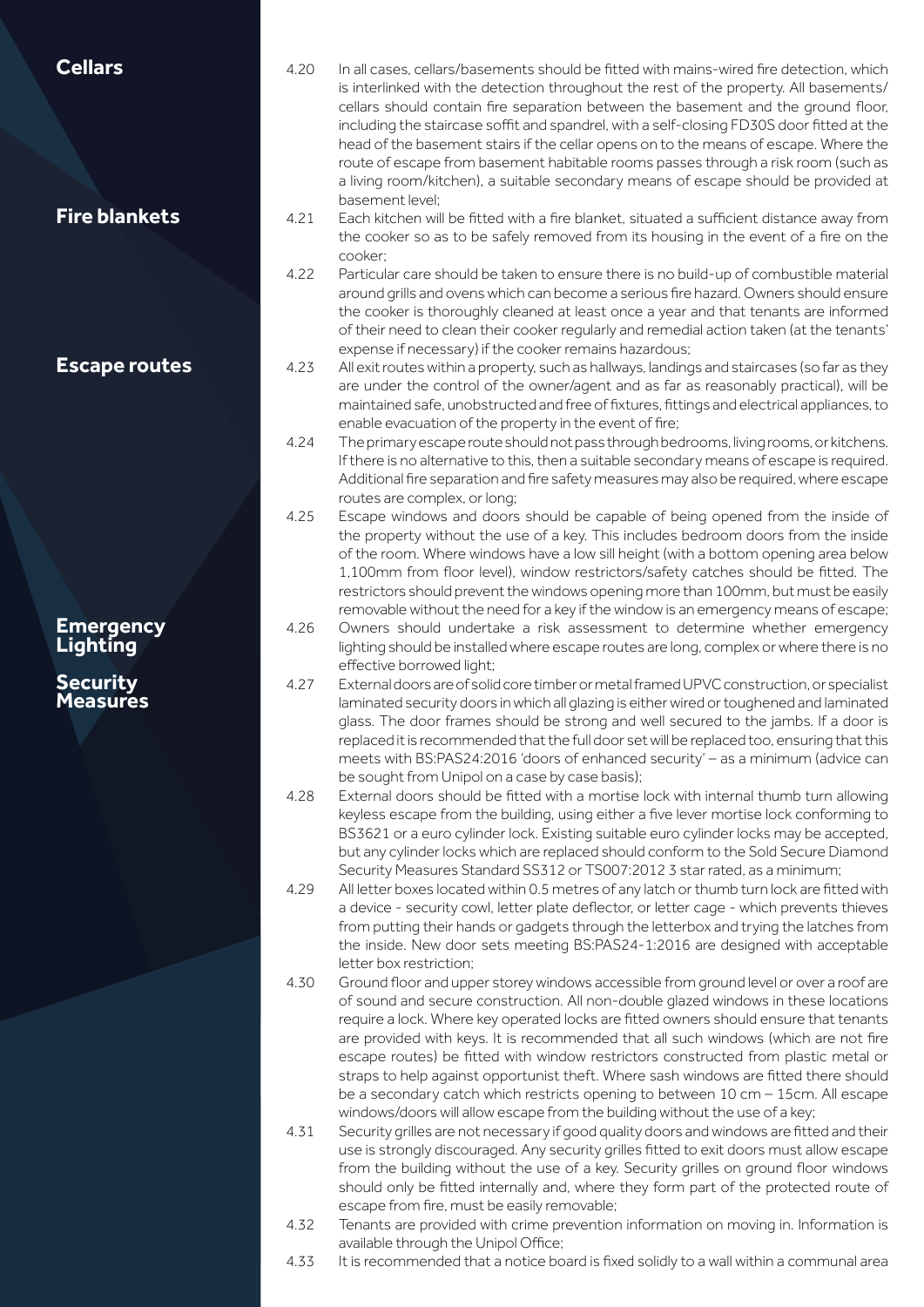| <b>Cellars</b><br><b>Fire blankets</b> | 4.20<br>4.21 | In all cases, cellars/basements should be fitted with mains-wired fire detection, which<br>is interlinked with the detection throughout the rest of the property. All basements/<br>cellars should contain fire separation between the basement and the ground floor,<br>including the staircase soffit and spandrel, with a self-closing FD30S door fitted at the<br>head of the basement stairs if the cellar opens on to the means of escape. Where the<br>route of escape from basement habitable rooms passes through a risk room (such as<br>a living room/kitchen), a suitable secondary means of escape should be provided at<br>basement level:<br>Each kitchen will be fitted with a fire blanket, situated a sufficient distance away from |
|----------------------------------------|--------------|-------------------------------------------------------------------------------------------------------------------------------------------------------------------------------------------------------------------------------------------------------------------------------------------------------------------------------------------------------------------------------------------------------------------------------------------------------------------------------------------------------------------------------------------------------------------------------------------------------------------------------------------------------------------------------------------------------------------------------------------------------|
|                                        |              | the cooker so as to be safely removed from its housing in the event of a fire on the<br>cooker:                                                                                                                                                                                                                                                                                                                                                                                                                                                                                                                                                                                                                                                       |
|                                        | 4.22         | Particular care should be taken to ensure there is no build-up of combustible material<br>around grills and ovens which can become a serious fire hazard. Owners should ensure<br>the cooker is thoroughly cleaned at least once a year and that tenants are informed<br>of their need to clean their cooker regularly and remedial action taken (at the tenants'<br>expense if necessary) if the cooker remains hazardous;                                                                                                                                                                                                                                                                                                                           |
| <b>Escape routes</b>                   | 4.23         | All exit routes within a property, such as hallways, landings and staircases (so far as they<br>are under the control of the owner/agent and as far as reasonably practical), will be                                                                                                                                                                                                                                                                                                                                                                                                                                                                                                                                                                 |
|                                        |              | maintained safe, unobstructed and free of fixtures, fittings and electrical appliances, to<br>enable evacuation of the property in the event of fire;                                                                                                                                                                                                                                                                                                                                                                                                                                                                                                                                                                                                 |
|                                        | 4.24         | The primary escape route should not pass through bedrooms, living rooms, or kitchens.<br>If there is no alternative to this, then a suitable secondary means of escape is required.<br>Additional fire separation and fire safety measures may also be required, where escape<br>routes are complex, or long;                                                                                                                                                                                                                                                                                                                                                                                                                                         |
|                                        | 4.25         | Escape windows and doors should be capable of being opened from the inside of<br>the property without the use of a key. This includes bedroom doors from the inside<br>of the room. Where windows have a low sill height (with a bottom opening area below<br>1,100mm from floor level), window restrictors/safety catches should be fitted. The<br>restrictors should prevent the windows opening more than 100mm, but must be easily<br>removable without the need for a key if the window is an emergency means of escape;                                                                                                                                                                                                                         |
| <b>Emergency</b><br><b>Lighting</b>    | 4.26         | Owners should undertake a risk assessment to determine whether emergency<br>lighting should be installed where escape routes are long, complex or where there is no<br>effective borrowed light;                                                                                                                                                                                                                                                                                                                                                                                                                                                                                                                                                      |
| <b>Security</b><br><b>Measures</b>     | 4.27         | External doors are of solid core timber or metal framed UPVC construction, or specialist<br>laminated security doors in which all glazing is either wired or toughened and laminated<br>glass. The door frames should be strong and well secured to the jambs. If a door is<br>replaced it is recommended that the full door set will be replaced too, ensuring that this<br>meets with BS:PAS24:2016 'doors of enhanced security' - as a minimum (advice can<br>be sought from Unipol on a case by case basis);                                                                                                                                                                                                                                      |
|                                        | 4.28         | External doors should be fitted with a mortise lock with internal thumb turn allowing<br>keyless escape from the building, using either a five lever mortise lock conforming to<br>BS3621 or a euro cylinder lock. Existing suitable euro cylinder locks may be accepted,<br>but any cylinder locks which are replaced should conform to the Sold Secure Diamond<br>Security Measures Standard SS312 or TS007:2012 3 star rated, as a minimum;                                                                                                                                                                                                                                                                                                        |
|                                        | 4.29         | All letter boxes located within 0.5 metres of any latch or thumb turn lock are fitted with<br>a device - security cowl, letter plate deflector, or letter cage - which prevents thieves<br>from putting their hands or gadgets through the letterbox and trying the latches from<br>the inside. New door sets meeting BS:PAS24-1:2016 are designed with acceptable<br>letter box restriction;                                                                                                                                                                                                                                                                                                                                                         |
|                                        | 4.30         | Ground floor and upper storey windows accessible from ground level or over a roof are<br>of sound and secure construction. All non-double glazed windows in these locations<br>require a lock. Where key operated locks are fitted owners should ensure that tenants<br>are provided with keys. It is recommended that all such windows (which are not fire<br>escape routes) be fitted with window restrictors constructed from plastic metal or<br>straps to help against opportunist theft. Where sash windows are fitted there should<br>be a secondary catch which restricts opening to between 10 cm - 15cm. All escape                                                                                                                         |
|                                        | 4.31         | windows/doors will allow escape from the building without the use of a key;<br>Security grilles are not necessary if good quality doors and windows are fitted and their<br>use is strongly discouraged. Any security grilles fitted to exit doors must allow escape<br>from the building without the use of a key. Security grilles on ground floor windows<br>should only be fitted internally and, where they form part of the protected route of                                                                                                                                                                                                                                                                                                  |
|                                        | 4.32         | escape from fire, must be easily removable;<br>Tenants are provided with crime prevention information on moving in. Information is<br>available through the Unipol Office;                                                                                                                                                                                                                                                                                                                                                                                                                                                                                                                                                                            |

4.33 It is recommended that a notice board is fixed solidly to a wall within a communal area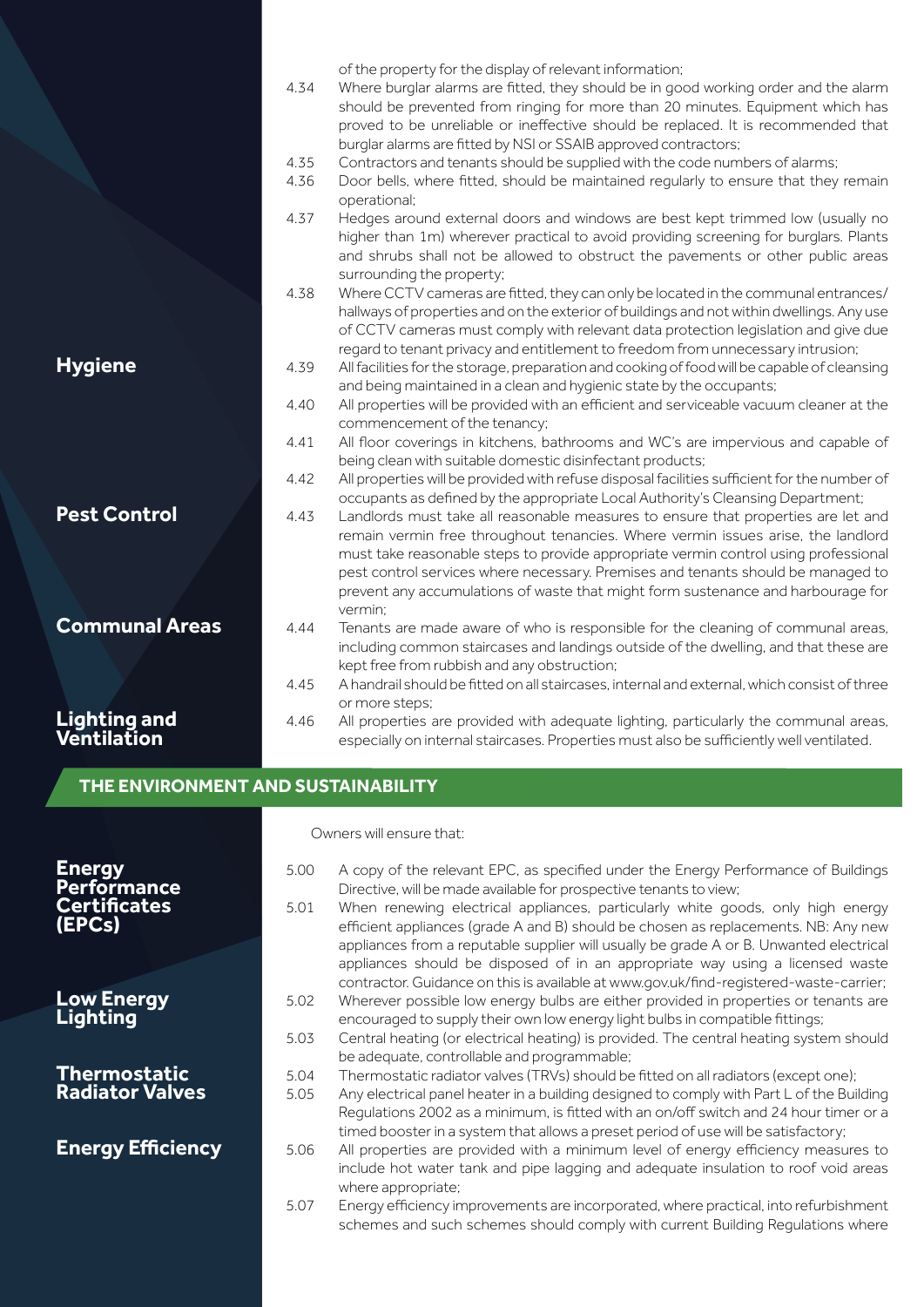|                                    |      | of the property for the display of relevant information;                                     |
|------------------------------------|------|----------------------------------------------------------------------------------------------|
|                                    | 4.34 | Where burglar alarms are fitted, they should be in good working order and the alarm          |
|                                    |      | should be prevented from ringing for more than 20 minutes. Equipment which has               |
|                                    |      | proved to be unreliable or ineffective should be replaced. It is recommended that            |
|                                    |      | burglar alarms are fitted by NSI or SSAIB approved contractors;                              |
|                                    | 4.35 | Contractors and tenants should be supplied with the code numbers of alarms;                  |
|                                    | 4.36 | Door bells, where fitted, should be maintained regularly to ensure that they remain          |
|                                    |      | operational;                                                                                 |
|                                    | 4.37 | Hedges around external doors and windows are best kept trimmed low (usually no               |
|                                    |      | higher than 1m) wherever practical to avoid providing screening for burglars. Plants         |
|                                    |      | and shrubs shall not be allowed to obstruct the pavements or other public areas              |
|                                    |      | surrounding the property;                                                                    |
|                                    | 4.38 | Where CCTV cameras are fitted, they can only be located in the communal entrances/           |
|                                    |      | hallways of properties and on the exterior of buildings and not within dwellings. Any use    |
|                                    |      | of CCTV cameras must comply with relevant data protection legislation and give due           |
|                                    |      | regard to tenant privacy and entitlement to freedom from unnecessary intrusion;              |
| <b>Hygiene</b>                     | 4.39 | All facilities for the storage, preparation and cooking of food will be capable of cleansing |
|                                    |      | and being maintained in a clean and hygienic state by the occupants;                         |
|                                    | 4.40 | All properties will be provided with an efficient and serviceable vacuum cleaner at the      |
|                                    |      | commencement of the tenancy;                                                                 |
|                                    | 4.41 | All floor coverings in kitchens, bathrooms and WC's are impervious and capable of            |
|                                    |      | being clean with suitable domestic disinfectant products;                                    |
|                                    | 4.42 | All properties will be provided with refuse disposal facilities sufficient for the number of |
|                                    |      | occupants as defined by the appropriate Local Authority's Cleansing Department;              |
| <b>Pest Control</b>                | 4.43 | Landlords must take all reasonable measures to ensure that properties are let and            |
|                                    |      | remain vermin free throughout tenancies. Where vermin issues arise, the landlord             |
|                                    |      | must take reasonable steps to provide appropriate vermin control using professional          |
|                                    |      | pest control services where necessary. Premises and tenants should be managed to             |
|                                    |      | prevent any accumulations of waste that might form sustenance and harbourage for             |
|                                    |      | vermin:                                                                                      |
| <b>Communal Areas</b>              | 4.44 | Tenants are made aware of who is responsible for the cleaning of communal areas,             |
|                                    |      | including common staircases and landings outside of the dwelling, and that these are         |
|                                    |      | kept free from rubbish and any obstruction;                                                  |
|                                    | 4.45 | A handrail should be fitted on all staircases, internal and external, which consist of three |
|                                    |      | or more steps;                                                                               |
| Lighting and<br>Ventilation        | 4.46 | All properties are provided with adequate lighting, particularly the communal areas,         |
|                                    |      | especially on internal staircases. Properties must also be sufficiently well ventilated.     |
|                                    |      |                                                                                              |
| THE ENVIRONMENT AND SUSTAINABILITY |      |                                                                                              |

Owners will ensure that:

| <b>Energy</b><br><b>Performance</b><br><b>Certificates</b><br>(EPCs) | 5.00<br>5.01 | A copy of the relevant EPC, as specified under the Energy Performance of Buildings<br>Directive, will be made available for prospective tenants to view;<br>When renewing electrical appliances, particularly white goods, only high energy<br>efficient appliances (grade A and B) should be chosen as replacements. NB: Any new<br>appliances from a reputable supplier will usually be grade A or B. Unwanted electrical<br>appliances should be disposed of in an appropriate way using a licensed waste<br>contractor. Guidance on this is available at www.gov.uk/find-registered-waste-carrier; |
|----------------------------------------------------------------------|--------------|--------------------------------------------------------------------------------------------------------------------------------------------------------------------------------------------------------------------------------------------------------------------------------------------------------------------------------------------------------------------------------------------------------------------------------------------------------------------------------------------------------------------------------------------------------------------------------------------------------|
| <b>Low Energy</b><br>Lighting                                        | 5.02<br>5.03 | Wherever possible low energy bulbs are either provided in properties or tenants are<br>encouraged to supply their own low energy light bulbs in compatible fittings;<br>Central heating (or electrical heating) is provided. The central heating system should                                                                                                                                                                                                                                                                                                                                         |
| <b>Thermostatic</b><br><b>Radiator Valves</b>                        | 5.04<br>5.05 | be adequate, controllable and programmable;<br>Thermostatic radiator valves (TRVs) should be fitted on all radiators (except one);<br>Any electrical panel heater in a building designed to comply with Part L of the Building<br>Requlations 2002 as a minimum, is fitted with an on/off switch and 24 hour timer or a<br>timed booster in a system that allows a preset period of use will be satisfactory;                                                                                                                                                                                          |
| <b>Energy Efficiency</b>                                             | 5.06         | All properties are provided with a minimum level of energy efficiency measures to<br>include hot water tank and pipe lagging and adequate insulation to roof void areas<br>where appropriate;                                                                                                                                                                                                                                                                                                                                                                                                          |
|                                                                      | 5.07         | Energy efficiency improvements are incorporated, where practical, into refurbishment<br>schemes and such schemes should comply with current Building Regulations where                                                                                                                                                                                                                                                                                                                                                                                                                                 |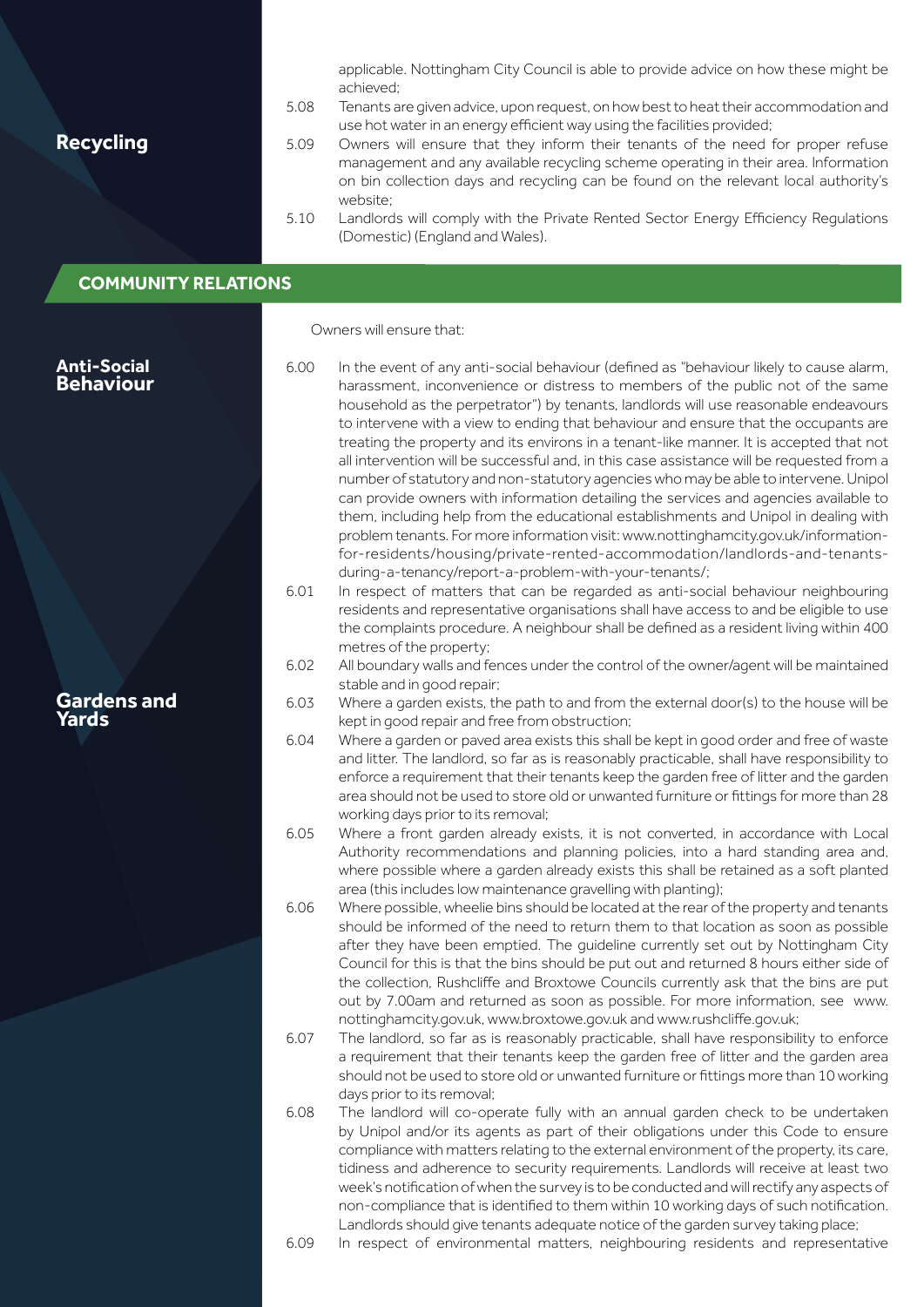| <b>Recycling</b>                       | 5.08<br>5.09<br>5.10 | applicable. Nottingham City Council is able to provide advice on how these might be<br>achieved;<br>Tenants are given advice, upon request, on how best to heat their accommodation and<br>use hot water in an energy efficient way using the facilities provided;<br>Owners will ensure that they inform their tenants of the need for proper refuse<br>management and any available recycling scheme operating in their area. Information<br>on bin collection days and recycling can be found on the relevant local authority's<br>website:<br>Landlords will comply with the Private Rented Sector Energy Efficiency Regulations<br>(Domestic) (England and Wales).                                                                                                                                               |
|----------------------------------------|----------------------|-----------------------------------------------------------------------------------------------------------------------------------------------------------------------------------------------------------------------------------------------------------------------------------------------------------------------------------------------------------------------------------------------------------------------------------------------------------------------------------------------------------------------------------------------------------------------------------------------------------------------------------------------------------------------------------------------------------------------------------------------------------------------------------------------------------------------|
| <b>COMMUNITY RELATIONS</b>             |                      |                                                                                                                                                                                                                                                                                                                                                                                                                                                                                                                                                                                                                                                                                                                                                                                                                       |
|                                        |                      |                                                                                                                                                                                                                                                                                                                                                                                                                                                                                                                                                                                                                                                                                                                                                                                                                       |
|                                        |                      | Owners will ensure that:                                                                                                                                                                                                                                                                                                                                                                                                                                                                                                                                                                                                                                                                                                                                                                                              |
| <b>Anti-Social</b><br><b>Behaviour</b> | 6.00                 | In the event of any anti-social behaviour (defined as "behaviour likely to cause alarm,<br>harassment, inconvenience or distress to members of the public not of the same<br>household as the perpetrator") by tenants, landlords will use reasonable endeavours<br>to intervene with a view to ending that behaviour and ensure that the occupants are<br>treating the property and its environs in a tenant-like manner. It is accepted that not<br>all intervention will be successful and, in this case assistance will be requested from a<br>number of statutory and non-statutory agencies who may be able to intervene. Unipol<br>can provide owners with information detailing the services and agencies available to<br>them, including help from the educational establishments and Unipol in dealing with |
|                                        | 6.01                 | problem tenants. For more information visit: www.nottinghamcity.gov.uk/information-<br>for-residents/housing/private-rented-accommodation/landlords-and-tenants-<br>during-a-tenancy/report-a-problem-with-your-tenants/;<br>In respect of matters that can be regarded as anti-social behaviour neighbouring<br>residents and representative organisations shall have access to and be eligible to use<br>the complaints procedure. A neighbour shall be defined as a resident living within 400<br>metres of the property;                                                                                                                                                                                                                                                                                          |
|                                        | 6.02                 | All boundary walls and fences under the control of the owner/agent will be maintained<br>stable and in good repair;                                                                                                                                                                                                                                                                                                                                                                                                                                                                                                                                                                                                                                                                                                   |
| <b>Gardens and</b><br>Yards            | 6.03                 | Where a garden exists, the path to and from the external door(s) to the house will be<br>kept in good repair and free from obstruction;                                                                                                                                                                                                                                                                                                                                                                                                                                                                                                                                                                                                                                                                               |
|                                        | 6.04                 | Where a garden or paved area exists this shall be kept in good order and free of waste<br>and litter. The landlord, so far as is reasonably practicable, shall have responsibility to<br>enforce a requirement that their tenants keep the garden free of litter and the garden<br>area should not be used to store old or unwanted furniture or fittings for more than 28<br>working days prior to its removal;                                                                                                                                                                                                                                                                                                                                                                                                      |
|                                        | 6.05                 | Where a front garden already exists, it is not converted, in accordance with Local<br>Authority recommendations and planning policies, into a hard standing area and,<br>where possible where a garden already exists this shall be retained as a soft planted<br>area (this includes low maintenance gravelling with planting);                                                                                                                                                                                                                                                                                                                                                                                                                                                                                      |
|                                        | 6.06                 | Where possible, wheelie bins should be located at the rear of the property and tenants<br>should be informed of the need to return them to that location as soon as possible<br>after they have been emptied. The guideline currently set out by Nottingham City<br>Council for this is that the bins should be put out and returned 8 hours either side of<br>the collection, Rushcliffe and Broxtowe Councils currently ask that the bins are put<br>out by 7.00am and returned as soon as possible. For more information, see www.<br>nottinghamcity.gov.uk, www.broxtowe.gov.uk and www.rushcliffe.gov.uk;                                                                                                                                                                                                        |
|                                        | 6.07                 | The landlord, so far as is reasonably practicable, shall have responsibility to enforce<br>a requirement that their tenants keep the garden free of litter and the garden area<br>should not be used to store old or unwanted furniture or fittings more than 10 working<br>days prior to its removal;                                                                                                                                                                                                                                                                                                                                                                                                                                                                                                                |
|                                        | 6.08                 | The landlord will co-operate fully with an annual garden check to be undertaken<br>by Unipol and/or its agents as part of their obligations under this Code to ensure<br>compliance with matters relating to the external environment of the property, its care,<br>tidiness and adherence to security requirements. Landlords will receive at least two<br>week's notification of when the survey is to be conducted and will rectify any aspects of<br>non-compliance that is identified to them within 10 working days of such notification.<br>Landlords should give tenants adequate notice of the garden survey taking place;                                                                                                                                                                                   |

6.09 In respect of environmental matters, neighbouring residents and representative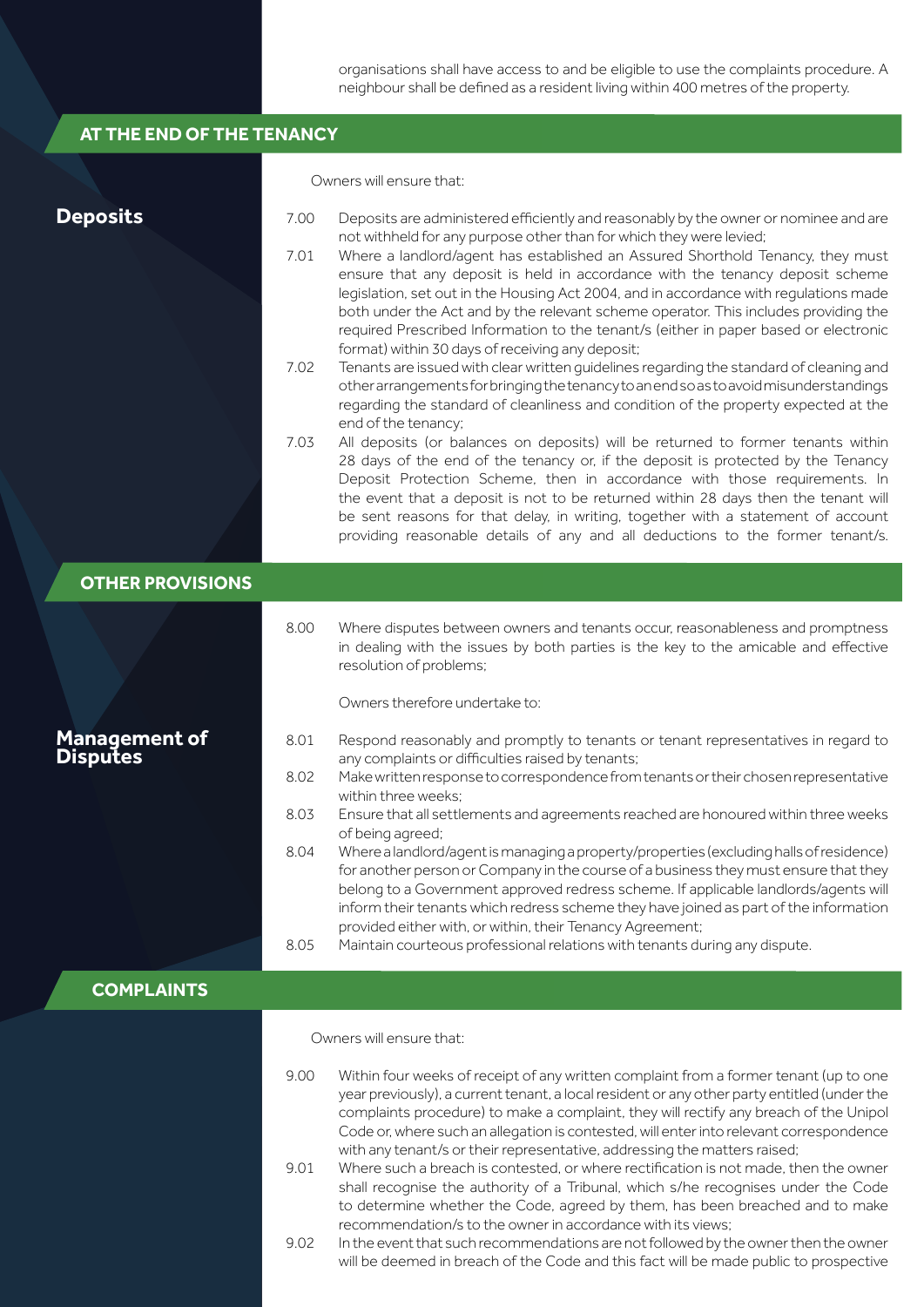organisations shall have access to and be eligible to use the complaints procedure. A neighbour shall be defined as a resident living within 400 metres of the property.

| AT THE END OF THE TENANCY               |                                      |                                                                                                                                                                                                                                                                                                                                                                                                                                                                                                                                                                                                                                                                                                                                                                                                                                                                                                                                                                                                                                                                                                                                                                                                                                                                                                                                                                                                                                                                                |
|-----------------------------------------|--------------------------------------|--------------------------------------------------------------------------------------------------------------------------------------------------------------------------------------------------------------------------------------------------------------------------------------------------------------------------------------------------------------------------------------------------------------------------------------------------------------------------------------------------------------------------------------------------------------------------------------------------------------------------------------------------------------------------------------------------------------------------------------------------------------------------------------------------------------------------------------------------------------------------------------------------------------------------------------------------------------------------------------------------------------------------------------------------------------------------------------------------------------------------------------------------------------------------------------------------------------------------------------------------------------------------------------------------------------------------------------------------------------------------------------------------------------------------------------------------------------------------------|
|                                         |                                      | Owners will ensure that:                                                                                                                                                                                                                                                                                                                                                                                                                                                                                                                                                                                                                                                                                                                                                                                                                                                                                                                                                                                                                                                                                                                                                                                                                                                                                                                                                                                                                                                       |
| <b>Deposits</b>                         | 7.00<br>7.01<br>7.02<br>7.03         | Deposits are administered efficiently and reasonably by the owner or nominee and are<br>not withheld for any purpose other than for which they were levied;<br>Where a landlord/agent has established an Assured Shorthold Tenancy, they must<br>ensure that any deposit is held in accordance with the tenancy deposit scheme<br>legislation, set out in the Housing Act 2004, and in accordance with regulations made<br>both under the Act and by the relevant scheme operator. This includes providing the<br>required Prescribed Information to the tenant/s (either in paper based or electronic<br>format) within 30 days of receiving any deposit;<br>Tenants are issued with clear written guidelines regarding the standard of cleaning and<br>other arrangements for bringing the tenancy to an end so as to avoid misunderstandings<br>regarding the standard of cleanliness and condition of the property expected at the<br>end of the tenancy;<br>All deposits (or balances on deposits) will be returned to former tenants within<br>28 days of the end of the tenancy or, if the deposit is protected by the Tenancy<br>Deposit Protection Scheme, then in accordance with those requirements. In<br>the event that a deposit is not to be returned within 28 days then the tenant will<br>be sent reasons for that delay, in writing, together with a statement of account<br>providing reasonable details of any and all deductions to the former tenant/s. |
| <b>OTHER PROVISIONS</b>                 |                                      |                                                                                                                                                                                                                                                                                                                                                                                                                                                                                                                                                                                                                                                                                                                                                                                                                                                                                                                                                                                                                                                                                                                                                                                                                                                                                                                                                                                                                                                                                |
| <b>Management of</b><br><b>Disputes</b> | 8.00<br>8.01<br>8.02<br>8.03<br>8.04 | Where disputes between owners and tenants occur, reasonableness and promptness<br>in dealing with the issues by both parties is the key to the amicable and effective<br>resolution of problems;<br>Owners therefore undertake to:<br>Respond reasonably and promptly to tenants or tenant representatives in regard to<br>any complaints or difficulties raised by tenants;<br>Make written response to correspondence from tenants or their chosen representative<br>within three weeks:<br>Ensure that all settlements and agreements reached are honoured within three weeks<br>of being agreed;<br>Where a landlord/agent is managing a property/properties (excluding halls of residence)<br>for another person or Company in the course of a business they must ensure that they<br>belong to a Government approved redress scheme. If applicable landlords/agents will<br>inform their tenants which redress scheme they have joined as part of the information<br>provided either with, or within, their Tenancy Agreement;                                                                                                                                                                                                                                                                                                                                                                                                                                           |
|                                         | 8.05                                 | Maintain courteous professional relations with tenants during any dispute.                                                                                                                                                                                                                                                                                                                                                                                                                                                                                                                                                                                                                                                                                                                                                                                                                                                                                                                                                                                                                                                                                                                                                                                                                                                                                                                                                                                                     |
| <b>COMPLAINTS</b>                       |                                      |                                                                                                                                                                                                                                                                                                                                                                                                                                                                                                                                                                                                                                                                                                                                                                                                                                                                                                                                                                                                                                                                                                                                                                                                                                                                                                                                                                                                                                                                                |
|                                         | 9.00<br>9.01<br>9.02                 | Owners will ensure that:<br>Within four weeks of receipt of any written complaint from a former tenant (up to one<br>year previously), a current tenant, a local resident or any other party entitled (under the<br>complaints procedure) to make a complaint, they will rectify any breach of the Unipol<br>Code or, where such an allegation is contested, will enter into relevant correspondence<br>with any tenant/s or their representative, addressing the matters raised;<br>Where such a breach is contested, or where rectification is not made, then the owner<br>shall recognise the authority of a Tribunal, which s/he recognises under the Code<br>to determine whether the Code, agreed by them, has been breached and to make<br>recommendation/s to the owner in accordance with its views;<br>In the event that such recommendations are not followed by the owner then the owner<br>will be deemed in breach of the Code and this fact will be made public to prospective                                                                                                                                                                                                                                                                                                                                                                                                                                                                                  |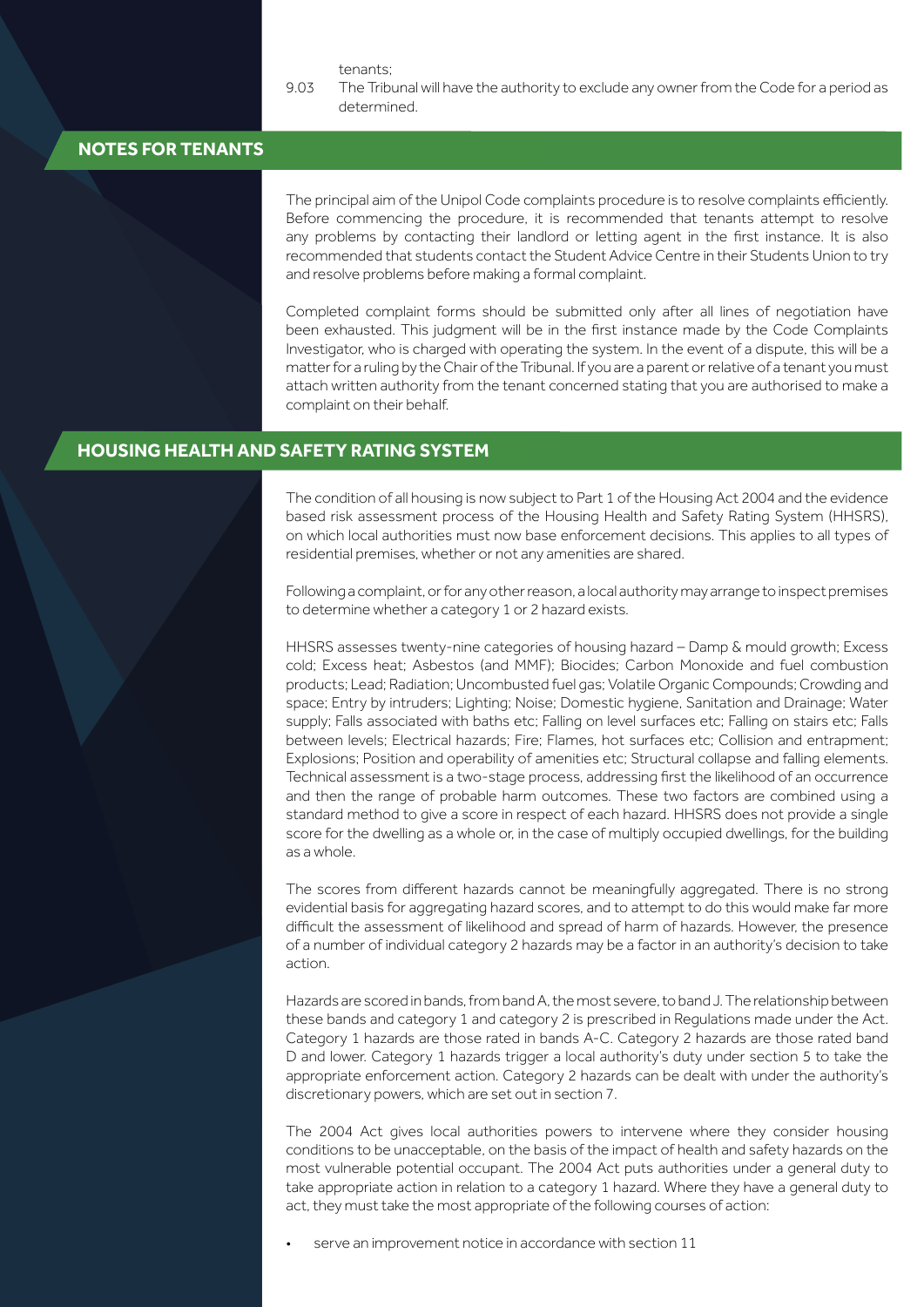tenants;

9.03 The Tribunal will have the authority to exclude any owner from the Code for a period as determined.

#### **NOTES FOR TENANTS**

The principal aim of the Unipol Code complaints procedure is to resolve complaints efficiently. Before commencing the procedure, it is recommended that tenants attempt to resolve any problems by contacting their landlord or letting agent in the first instance. It is also recommended that students contact the Student Advice Centre in their Students Union to try and resolve problems before making a formal complaint.

Completed complaint forms should be submitted only after all lines of negotiation have been exhausted. This judgment will be in the first instance made by the Code Complaints Investigator, who is charged with operating the system. In the event of a dispute, this will be a matter for a ruling by the Chair of the Tribunal. If you are a parent or relative of a tenant you must attach written authority from the tenant concerned stating that you are authorised to make a complaint on their behalf.

#### **HOUSING HEALTH AND SAFETY RATING SYSTEM**

The condition of all housing is now subject to Part 1 of the Housing Act 2004 and the evidence based risk assessment process of the Housing Health and Safety Rating System (HHSRS), on which local authorities must now base enforcement decisions. This applies to all types of residential premises, whether or not any amenities are shared.

Following a complaint, or for any other reason, a local authority may arrange to inspect premises to determine whether a category 1 or 2 hazard exists.

HHSRS assesses twenty-nine categories of housing hazard – Damp & mould growth; Excess cold; Excess heat; Asbestos (and MMF); Biocides; Carbon Monoxide and fuel combustion products; Lead; Radiation; Uncombusted fuel gas; Volatile Organic Compounds; Crowding and space; Entry by intruders; Lighting; Noise; Domestic hygiene, Sanitation and Drainage; Water supply; Falls associated with baths etc; Falling on level surfaces etc; Falling on stairs etc; Falls between levels; Electrical hazards; Fire; Flames, hot surfaces etc; Collision and entrapment; Explosions; Position and operability of amenities etc; Structural collapse and falling elements. Technical assessment is a two-stage process, addressing first the likelihood of an occurrence and then the range of probable harm outcomes. These two factors are combined using a standard method to give a score in respect of each hazard. HHSRS does not provide a single score for the dwelling as a whole or, in the case of multiply occupied dwellings, for the building as a whole.

The scores from different hazards cannot be meaningfully aggregated. There is no strong evidential basis for aggregating hazard scores, and to attempt to do this would make far more difficult the assessment of likelihood and spread of harm of hazards. However, the presence of a number of individual category 2 hazards may be a factor in an authority's decision to take action.

Hazards are scored in bands, from band A, the most severe, to band J. The relationship between these bands and category 1 and category 2 is prescribed in Regulations made under the Act. Category 1 hazards are those rated in bands A-C. Category 2 hazards are those rated band D and lower. Category 1 hazards trigger a local authority's duty under section 5 to take the appropriate enforcement action. Category 2 hazards can be dealt with under the authority's discretionary powers, which are set out in section 7.

The 2004 Act gives local authorities powers to intervene where they consider housing conditions to be unacceptable, on the basis of the impact of health and safety hazards on the most vulnerable potential occupant. The 2004 Act puts authorities under a general duty to take appropriate action in relation to a category 1 hazard. Where they have a general duty to act, they must take the most appropriate of the following courses of action:

serve an improvement notice in accordance with section 11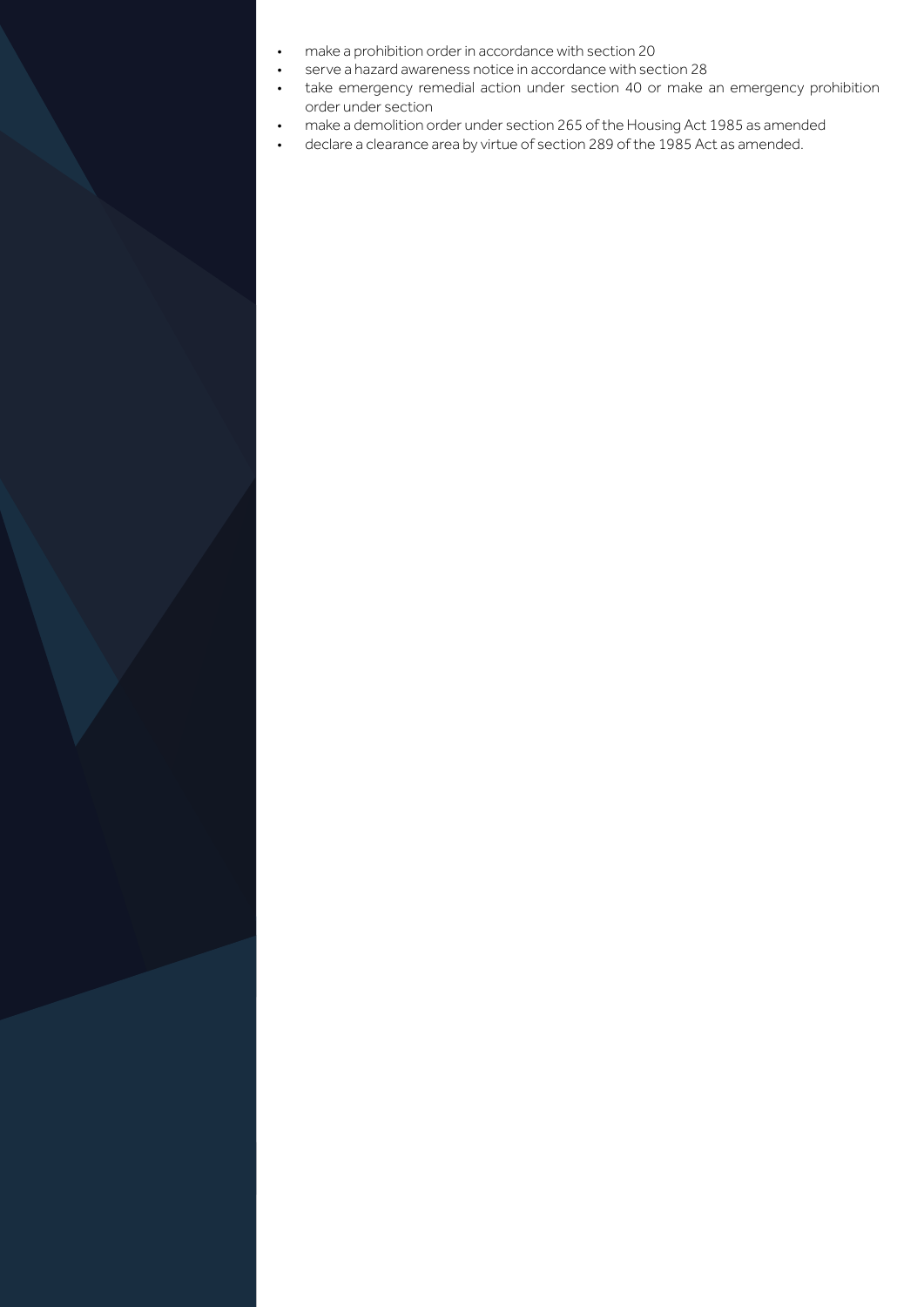- make a prohibition order in accordance with section 20
- serve a hazard awareness notice in accordance with section 28
- take emergency remedial action under section 40 or make an emergency prohibition order under section
- make a demolition order under section 265 of the Housing Act 1985 as amended
- declare a clearance area by virtue of section 289 of the 1985 Act as amended.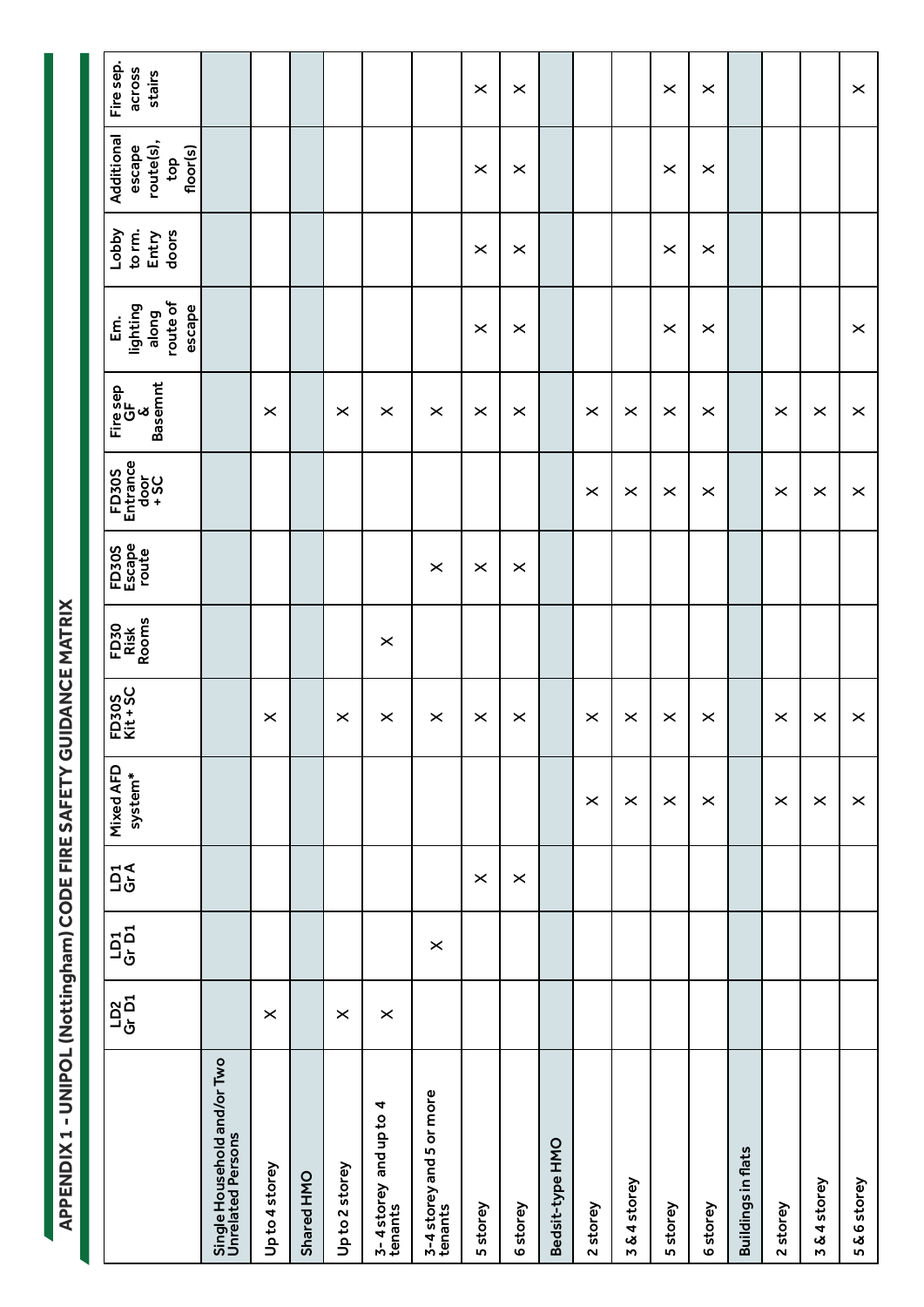APPENDIX 1 - UNIPOL (Nottingham) CODE FIRE SAFETY GUIDANCE MATRIX **APPENDIX 1 - UNIPOL (Nottingham) CODE FIRE SAFETY GUIDANCE MATRIX**

| Fire sep.<br>across<br>stairs                        |                                                  |                |            |                |                                   |                                     | $\pmb{\times}$        | $\pmb{\times}$        |                 |                       |            | $\times$       | $\times$              |                           |          |              | $\times$       |
|------------------------------------------------------|--------------------------------------------------|----------------|------------|----------------|-----------------------------------|-------------------------------------|-----------------------|-----------------------|-----------------|-----------------------|------------|----------------|-----------------------|---------------------------|----------|--------------|----------------|
| Additional<br>route(s),<br>floor(s)<br>escape<br>top |                                                  |                |            |                |                                   |                                     | $\times$              | $\boldsymbol{\times}$ |                 |                       |            | $\times$       | $\times$              |                           |          |              |                |
| <b>Lobby</b><br>to rm.<br>doors<br>Entry             |                                                  |                |            |                |                                   |                                     | $\pmb{\times}$        | $\boldsymbol{\times}$ |                 |                       |            | $\pmb{\times}$ | $\times$              |                           |          |              |                |
| route of<br>lighting<br>escape<br>along<br><u>៩</u>  |                                                  |                |            |                |                                   |                                     | $\times$              | $\boldsymbol{\times}$ |                 |                       |            | $\times$       | $\times$              |                           |          |              | $\times$       |
| <b>Basemnt</b><br>Fire sep<br>GF<br>Ø                |                                                  | $\times$       |            | $\times$       | $\times$                          | $\times$                            | $\times$              | $\boldsymbol{\times}$ |                 | $\boldsymbol{\times}$ | $\times$   | $\times$       | $\times$              |                           | $\times$ | $\times$     | $\pmb{\times}$ |
| FD30S<br>Entrance<br>$rac{60}{30}$                   |                                                  |                |            |                |                                   |                                     |                       |                       |                 | $\times$              | $\times$   | $\pmb{\times}$ | $\times$              |                           | $\times$ | $\times$     | $\pmb{\times}$ |
| FD30S<br>Escape<br>route                             |                                                  |                |            |                |                                   | $\pmb{\times}$                      | $\boldsymbol{\times}$ | $\boldsymbol{\times}$ |                 |                       |            |                |                       |                           |          |              |                |
| FD30<br>Risk<br>Rooms                                |                                                  |                |            |                | $\times$                          |                                     |                       |                       |                 |                       |            |                |                       |                           |          |              |                |
| FD30S<br>Kit + SC                                    |                                                  | $\times$       |            | $\pmb{\times}$ | $\times$                          | $\pmb{\times}$                      | $\boldsymbol{\times}$ | $\times$              |                 | $\boldsymbol{\times}$ | $\times$   | $\times$       | $\times$              |                           | $\times$ | $\times$     | $\pmb{\times}$ |
| Mixed AFD<br>system*                                 |                                                  |                |            |                |                                   |                                     |                       |                       |                 | $\times$              | $\times$   | $\pmb{\times}$ | $\boldsymbol{\times}$ |                           | $\times$ | $\times$     | $\pmb{\times}$ |
| $\frac{1}{9}$                                        |                                                  |                |            |                |                                   |                                     | $\pmb{\times}$        | $\times$              |                 |                       |            |                |                       |                           |          |              |                |
| $\frac{15}{10}$                                      |                                                  |                |            |                |                                   | $\times$                            |                       |                       |                 |                       |            |                |                       |                           |          |              |                |
| $\frac{102}{G}\vec{D}1$                              |                                                  | $\times$       |            | $\times$       | $\times$                          |                                     |                       |                       |                 |                       |            |                |                       |                           |          |              |                |
|                                                      | Single Household and/or Two<br>Unrelated Persons | Up to 4 storey | Shared HMO | Up to 2 storey | 3-4 storey and up to 4<br>tenants | 3-4 storey and 5 or more<br>tenants | 5 storey              | 6storey               | Bedsit-type HMO | 2 storey              | 3&4 storey | 5 storey       | 6storey               | <b>Buildings in flats</b> | 2 storey | 3 & 4 storey | 5&6storey      |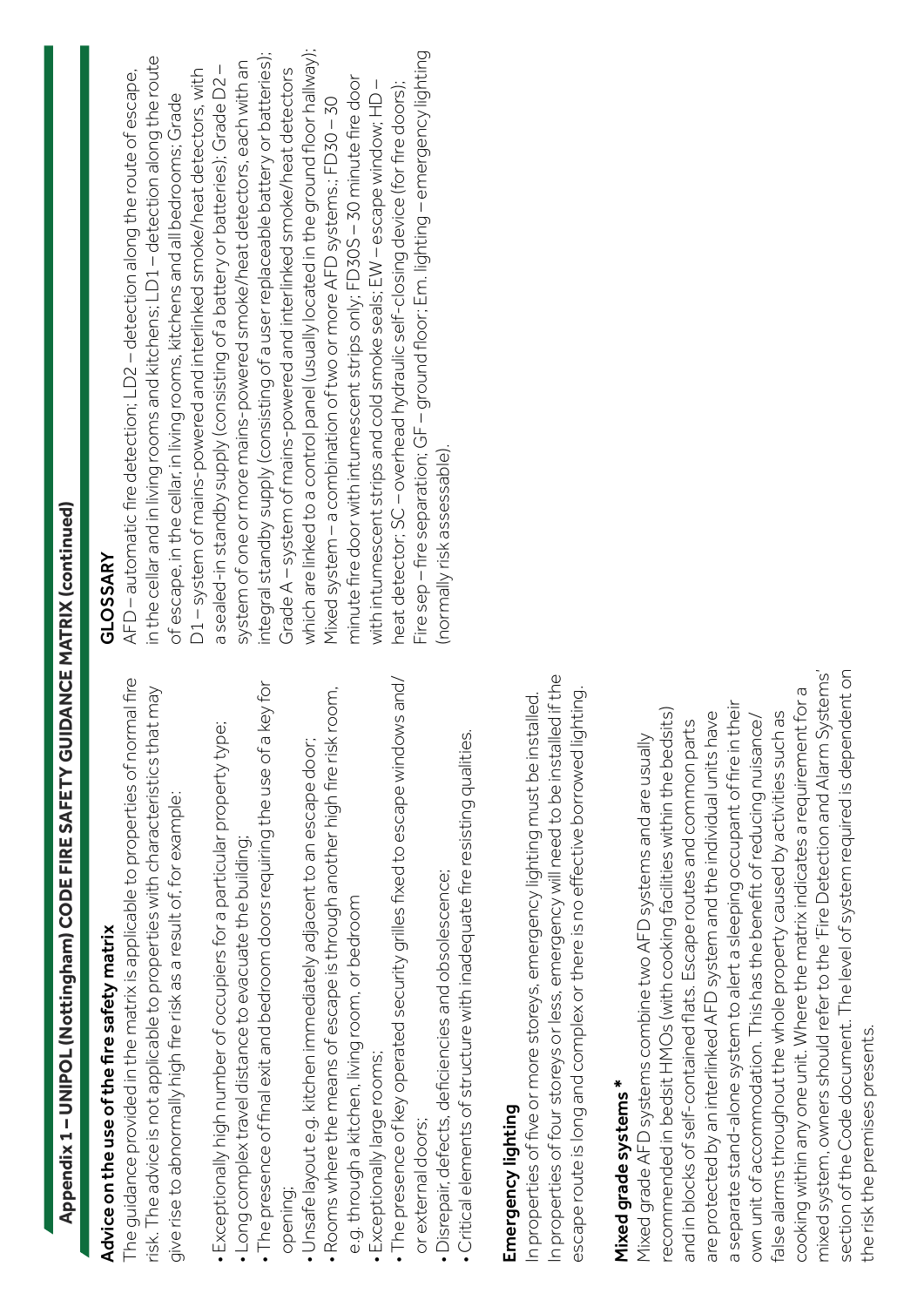# **Appendix 1 – UNIPOL (Nottingham) CODE FIRE SAFETY GUIDANCE MATRIX (continued)** Appendix 1-UNIPOL (Nottingham) CODE FIRE SAFETY GUIDANCE MATRIX (continued)

# Advice on the use of the fire safety matrix Advice on the use of the fire safety matrix

The quidance provided in the matrix is applicable to properties of normal fire The guidance provided in the matrix is applicable to properties of normal fire risk. The advice is not applicable to properties with characteristics that may risk. The advice is not applicable to properties with characteristics that may give rise to abnormally high fire risk as a result of, for example: give rise to abnormally high fire risk as a result of, for example:

- Exceptionally high number of occupiers for a particular property type; · Exceptionally high number of occupiers for a particular property type;
	- Long complex travel distance to evacuate the building; • Long complex travel distance to evacuate the building;
- The presence of final exit and bedroom doors requiring the use of a key for • The presence of final exit and bedroom doors requiring the use of a key for opening;
	- · Unsafe layout e.g. kitchen immediately adjacent to an escape door; • Unsafe layout e.g. kitchen immediately adjacent to an escape door;
- Rooms where the means of escape is through another high fire risk room, · Rooms where the means of escape is through another high fire risk room, e.g. through a kitchen, living room, or bedroom e.g. through a kitchen, living room, or bedroom
- Exceptionally large rooms; Exceptionally large rooms;
- The presence of key operated security grilles fixed to escape windows and/ • The presence of key operated security grilles fixed to escape windows and/ or external doors; or external doors;
- · Disrepair, defects, deficiencies and obsolescence; • Disrepair, defects, deficiencies and obsolescence;
- Critical elements of structure with inadequate fire resisting qualities. Critical elements of structure with inadequate fire resisting qualities.

### Emergency lighting Emergency lighting

In properties of four storeys or less, emergency will need to be installed if the In properties of four storeys or less, emergency will need to be installed if the escape route is long and complex or there is no effective borrowed lighting. escape route is long and complex or there is no effective borrowed lighting. In properties of five or more storeys, emergency lighting must be installed. In properties of five or more storeys, emergency lighting must be installed.

## Mixed grade systems \* Mixed grade systems \*

mixed system, owners should refer to the 'Fire Detection and Alarm Systems' section of the Code document. The level of system required is dependent on mixed system, owners should refer to the 'Fire Detection and Alarm Systems' section of the Code document. The level of system required is dependent on cooking within any one unit. Where the matrix indicates a requirement for a cooking within any one unit. Where the matrix indicates a requirement for a a separate stand-alone system to alert a sleeping occupant of fire in their a separate stand-alone system to alert a sleeping occupant of fire in their recommended in bedsit HMOs (with cooking facilities within the bedsits) recommended in bedsit HMOs (with cooking facilities within the bedsits) false alarms throughout the whole property caused by activities such as are protected by an interlinked AFD system and the individual units have are protected by an interlinked AFD system and the individual units have false alarms throughout the whole property caused by activities such as own unit of accommodation. This has the benefit of reducing nuisance/ own unit of accommodation. This has the benefit of reducing nuisance/ and in blocks of self-contained flats. Escape routes and common parts and in blocks of self-contained flats. Escape routes and common parts Mixed grade AFD systems combine two AFD systems and are usually Mixed grade AFD systems combine two AFD systems and are usually the risk the premises presents. the risk the premises presents.

#### GLOSSARY GLOSSARY

which are linked to a control panel (usually located in the ground floor hallway); Fire sep – fire separation; GF – ground floor; Em. lighting – emergency lighting integral standby supply (consisting of a user replaceable battery or batteries); Fire sep - fire separation; GF - ground floor; Em. lighting - emergency lighting integral standby supply (consisting of a user replaceable battery or batteries); which are linked to a control panel (usually located in the ground floor hallway); in the cellar and in living rooms and kitchens; LD1-detection along the route in the cellar and in living rooms and kitchens; LD1 – detection along the route system of one or more mains-powered smoke/heat detectors, each with an system of one or more mains-powered smoke/heat detectors, each with an a sealed-in standby supply (consisting of a battery or batteries); Grade D2 – a sealed-in standby supply (consisting of a battery or batteries); Grade D2-Grade A - system of mains-powered and interlinked smoke/heat detectors Grade A – system of mains-powered and interlinked smoke/heat detectors AFD – automatic fire detection; LD2 – detection along the route of escape, D1-system of mains-powered and interlinked smoke/heat detectors, with D1 – system of mains-powered and interlinked smoke/heat detectors, with AFD-automatic fire detection; LD2-detection along the route of escape, minute fire door with intumescent strips only; FD30S – 30 minute fire door minute fire door with intumescent strips only; FD30S-30 minute fire door with intumescent strips and cold smoke seals; EW – escape window; HD – heat detector; SC – overhead hydraulic self-closing device (for fire doors); with intumescent strips and cold smoke seals; EW - escape window; HD heat detector; SC – overhead hydraulic self-closing device (for fire doors); of escape, in the cellar, in living rooms, kitchens and all bedrooms; Grade of escape, in the cellar, in living rooms, kitchens and all bedrooms; Grade Mixed system – a combination of two or more AFD systems.; FD30 – 30 Mixed system - a combination of two or more AFD systems.; FD30 - 30 normally risk assessable). (normally risk assessable).